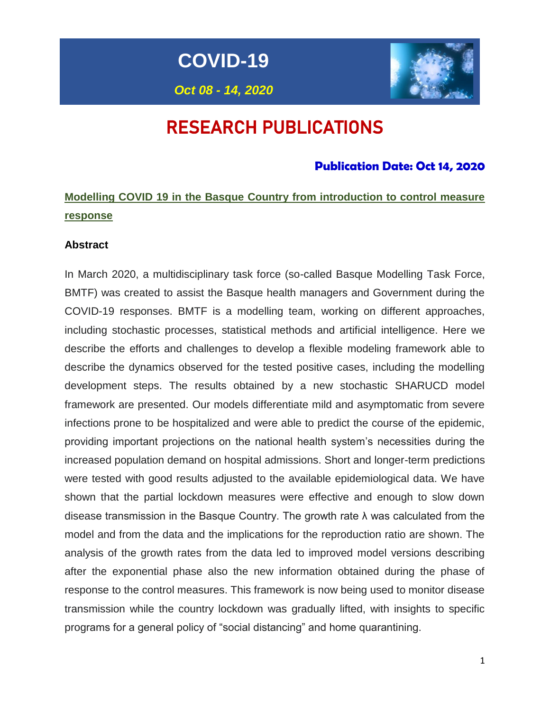**COVID-19**

# *Oct 08 - 14, 2020*

# RESEARCH PUBLICATIONS

## **Publication Date: Oct 14, 2020**

# **Modelling COVID 19 in the Basque Country from introduction to control measure response**

#### **Abstract**

In March 2020, a multidisciplinary task force (so-called Basque Modelling Task Force, BMTF) was created to assist the Basque health managers and Government during the COVID-19 responses. BMTF is a modelling team, working on different approaches, including stochastic processes, statistical methods and artificial intelligence. Here we describe the efforts and challenges to develop a flexible modeling framework able to describe the dynamics observed for the tested positive cases, including the modelling development steps. The results obtained by a new stochastic SHARUCD model framework are presented. Our models differentiate mild and asymptomatic from severe infections prone to be hospitalized and were able to predict the course of the epidemic, providing important projections on the national health system's necessities during the increased population demand on hospital admissions. Short and longer-term predictions were tested with good results adjusted to the available epidemiological data. We have shown that the partial lockdown measures were effective and enough to slow down disease transmission in the Basque Country. The growth rate λ was calculated from the model and from the data and the implications for the reproduction ratio are shown. The analysis of the growth rates from the data led to improved model versions describing after the exponential phase also the new information obtained during the phase of response to the control measures. This framework is now being used to monitor disease transmission while the country lockdown was gradually lifted, with insights to specific programs for a general policy of "social distancing" and home quarantining.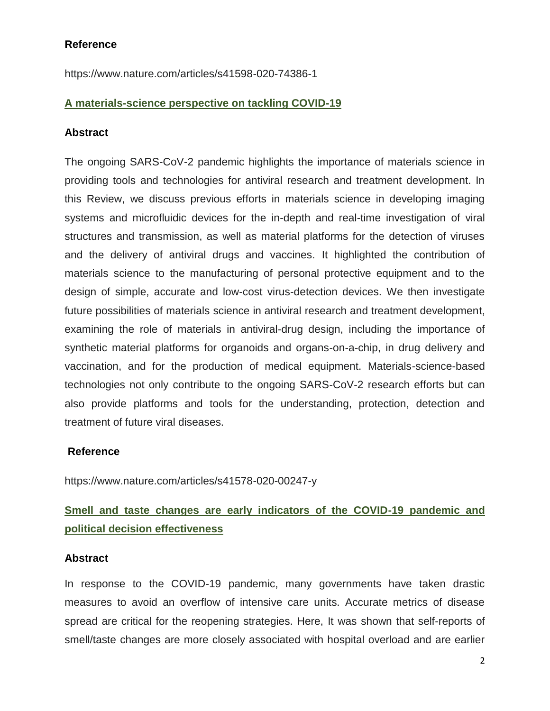#### **Reference**

https://www.nature.com/articles/s41598-020-74386-1

#### **A materials-science perspective on tackling COVID-19**

#### **Abstract**

The ongoing SARS-CoV-2 pandemic highlights the importance of materials science in providing tools and technologies for antiviral research and treatment development. In this Review, we discuss previous efforts in materials science in developing imaging systems and microfluidic devices for the in-depth and real-time investigation of viral structures and transmission, as well as material platforms for the detection of viruses and the delivery of antiviral drugs and vaccines. It highlighted the contribution of materials science to the manufacturing of personal protective equipment and to the design of simple, accurate and low-cost virus-detection devices. We then investigate future possibilities of materials science in antiviral research and treatment development, examining the role of materials in antiviral-drug design, including the importance of synthetic material platforms for organoids and organs-on-a-chip, in drug delivery and vaccination, and for the production of medical equipment. Materials-science-based technologies not only contribute to the ongoing SARS-CoV-2 research efforts but can also provide platforms and tools for the understanding, protection, detection and treatment of future viral diseases.

#### **Reference**

https://www.nature.com/articles/s41578-020-00247-y

## **Smell and taste changes are early indicators of the COVID-19 pandemic and political decision effectiveness**

#### **Abstract**

In response to the COVID-19 pandemic, many governments have taken drastic measures to avoid an overflow of intensive care units. Accurate metrics of disease spread are critical for the reopening strategies. Here, It was shown that self-reports of smell/taste changes are more closely associated with hospital overload and are earlier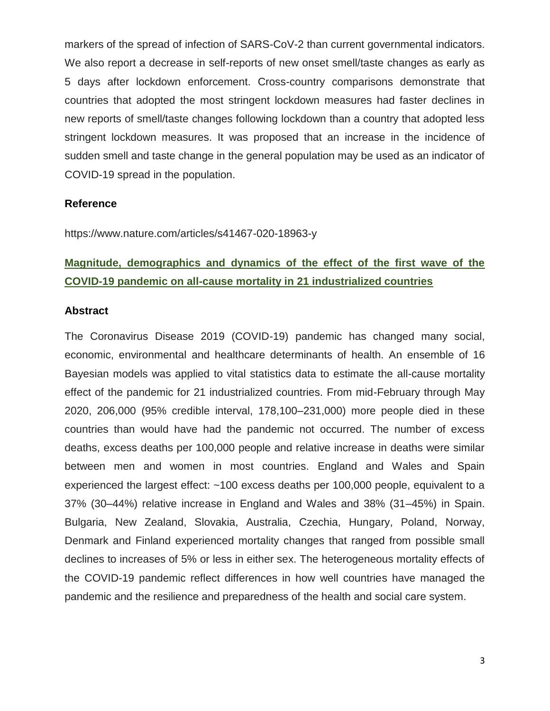markers of the spread of infection of SARS-CoV-2 than current governmental indicators. We also report a decrease in self-reports of new onset smell/taste changes as early as 5 days after lockdown enforcement. Cross-country comparisons demonstrate that countries that adopted the most stringent lockdown measures had faster declines in new reports of smell/taste changes following lockdown than a country that adopted less stringent lockdown measures. It was proposed that an increase in the incidence of sudden smell and taste change in the general population may be used as an indicator of COVID-19 spread in the population.

#### **Reference**

https://www.nature.com/articles/s41467-020-18963-y

## **Magnitude, demographics and dynamics of the effect of the first wave of the COVID-19 pandemic on all-cause mortality in 21 industrialized countries**

#### **Abstract**

The Coronavirus Disease 2019 (COVID-19) pandemic has changed many social, economic, environmental and healthcare determinants of health. An ensemble of 16 Bayesian models was applied to vital statistics data to estimate the all-cause mortality effect of the pandemic for 21 industrialized countries. From mid-February through May 2020, 206,000 (95% credible interval, 178,100–231,000) more people died in these countries than would have had the pandemic not occurred. The number of excess deaths, excess deaths per 100,000 people and relative increase in deaths were similar between men and women in most countries. England and Wales and Spain experienced the largest effect: ~100 excess deaths per 100,000 people, equivalent to a 37% (30–44%) relative increase in England and Wales and 38% (31–45%) in Spain. Bulgaria, New Zealand, Slovakia, Australia, Czechia, Hungary, Poland, Norway, Denmark and Finland experienced mortality changes that ranged from possible small declines to increases of 5% or less in either sex. The heterogeneous mortality effects of the COVID-19 pandemic reflect differences in how well countries have managed the pandemic and the resilience and preparedness of the health and social care system.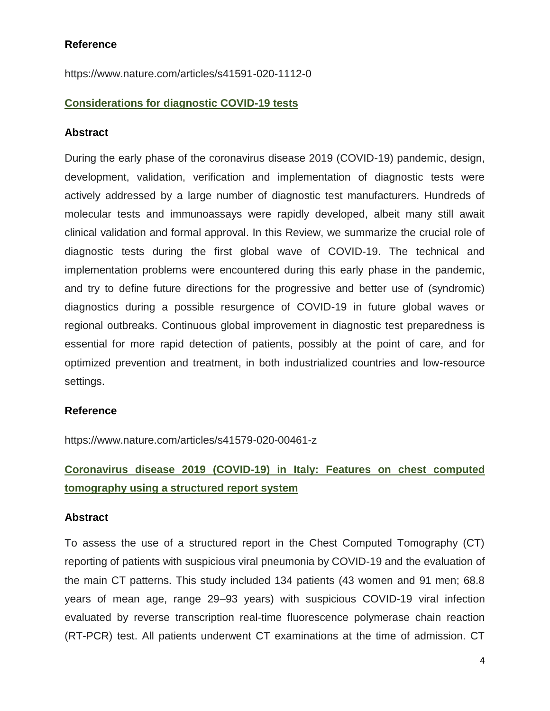#### **Reference**

https://www.nature.com/articles/s41591-020-1112-0

#### **Considerations for diagnostic COVID-19 tests**

#### **Abstract**

During the early phase of the coronavirus disease 2019 (COVID-19) pandemic, design, development, validation, verification and implementation of diagnostic tests were actively addressed by a large number of diagnostic test manufacturers. Hundreds of molecular tests and immunoassays were rapidly developed, albeit many still await clinical validation and formal approval. In this Review, we summarize the crucial role of diagnostic tests during the first global wave of COVID-19. The technical and implementation problems were encountered during this early phase in the pandemic, and try to define future directions for the progressive and better use of (syndromic) diagnostics during a possible resurgence of COVID-19 in future global waves or regional outbreaks. Continuous global improvement in diagnostic test preparedness is essential for more rapid detection of patients, possibly at the point of care, and for optimized prevention and treatment, in both industrialized countries and low-resource settings.

#### **Reference**

https://www.nature.com/articles/s41579-020-00461-z

## **Coronavirus disease 2019 (COVID-19) in Italy: Features on chest computed tomography using a structured report system**

#### **Abstract**

To assess the use of a structured report in the Chest Computed Tomography (CT) reporting of patients with suspicious viral pneumonia by COVID-19 and the evaluation of the main CT patterns. This study included 134 patients (43 women and 91 men; 68.8 years of mean age, range 29–93 years) with suspicious COVID-19 viral infection evaluated by reverse transcription real-time fluorescence polymerase chain reaction (RT-PCR) test. All patients underwent CT examinations at the time of admission. CT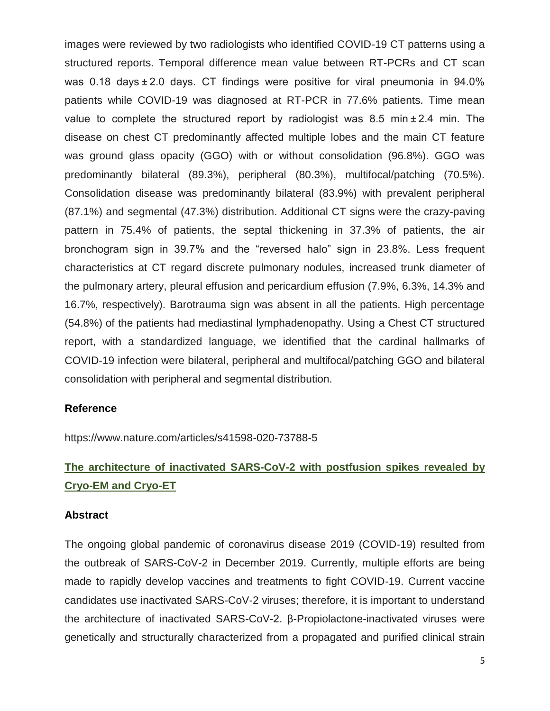images were reviewed by two radiologists who identified COVID-19 CT patterns using a structured reports. Temporal difference mean value between RT-PCRs and CT scan was 0.18 days ± 2.0 days. CT findings were positive for viral pneumonia in 94.0% patients while COVID-19 was diagnosed at RT-PCR in 77.6% patients. Time mean value to complete the structured report by radiologist was 8.5 min $\pm$  2.4 min. The disease on chest CT predominantly affected multiple lobes and the main CT feature was ground glass opacity (GGO) with or without consolidation (96.8%). GGO was predominantly bilateral (89.3%), peripheral (80.3%), multifocal/patching (70.5%). Consolidation disease was predominantly bilateral (83.9%) with prevalent peripheral (87.1%) and segmental (47.3%) distribution. Additional CT signs were the crazy-paving pattern in 75.4% of patients, the septal thickening in 37.3% of patients, the air bronchogram sign in 39.7% and the "reversed halo" sign in 23.8%. Less frequent characteristics at CT regard discrete pulmonary nodules, increased trunk diameter of the pulmonary artery, pleural effusion and pericardium effusion (7.9%, 6.3%, 14.3% and 16.7%, respectively). Barotrauma sign was absent in all the patients. High percentage (54.8%) of the patients had mediastinal lymphadenopathy. Using a Chest CT structured report, with a standardized language, we identified that the cardinal hallmarks of COVID-19 infection were bilateral, peripheral and multifocal/patching GGO and bilateral consolidation with peripheral and segmental distribution.

#### **Reference**

https://www.nature.com/articles/s41598-020-73788-5

# **The architecture of inactivated SARS-CoV-2 with postfusion spikes revealed by Cryo-EM and Cryo-ET**

#### **Abstract**

The ongoing global pandemic of coronavirus disease 2019 (COVID-19) resulted from the outbreak of SARS-CoV-2 in December 2019. Currently, multiple efforts are being made to rapidly develop vaccines and treatments to fight COVID-19. Current vaccine candidates use inactivated SARS-CoV-2 viruses; therefore, it is important to understand the architecture of inactivated SARS-CoV-2. β-Propiolactone-inactivated viruses were genetically and structurally characterized from a propagated and purified clinical strain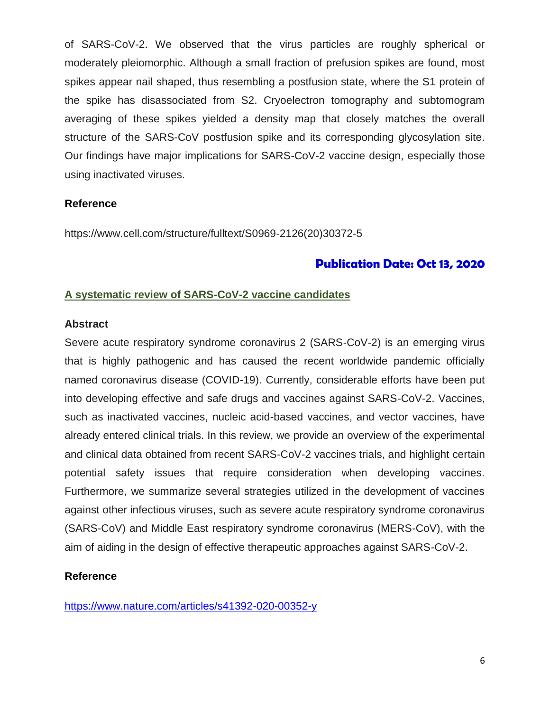of SARS-CoV-2. We observed that the virus particles are roughly spherical or moderately pleiomorphic. Although a small fraction of prefusion spikes are found, most spikes appear nail shaped, thus resembling a postfusion state, where the S1 protein of the spike has disassociated from S2. Cryoelectron tomography and subtomogram averaging of these spikes yielded a density map that closely matches the overall structure of the SARS-CoV postfusion spike and its corresponding glycosylation site. Our findings have major implications for SARS-CoV-2 vaccine design, especially those using inactivated viruses.

#### **Reference**

https://www.cell.com/structure/fulltext/S0969-2126(20)30372-5

## **Publication Date: Oct 13, 2020**

#### **A systematic review of SARS-CoV-2 vaccine candidates**

#### **Abstract**

Severe acute respiratory syndrome coronavirus 2 (SARS-CoV-2) is an emerging virus that is highly pathogenic and has caused the recent worldwide pandemic officially named coronavirus disease (COVID-19). Currently, considerable efforts have been put into developing effective and safe drugs and vaccines against SARS-CoV-2. Vaccines, such as inactivated vaccines, nucleic acid-based vaccines, and vector vaccines, have already entered clinical trials. In this review, we provide an overview of the experimental and clinical data obtained from recent SARS-CoV-2 vaccines trials, and highlight certain potential safety issues that require consideration when developing vaccines. Furthermore, we summarize several strategies utilized in the development of vaccines against other infectious viruses, such as severe acute respiratory syndrome coronavirus (SARS-CoV) and Middle East respiratory syndrome coronavirus (MERS-CoV), with the aim of aiding in the design of effective therapeutic approaches against SARS-CoV-2.

#### **Reference**

<https://www.nature.com/articles/s41392-020-00352-y>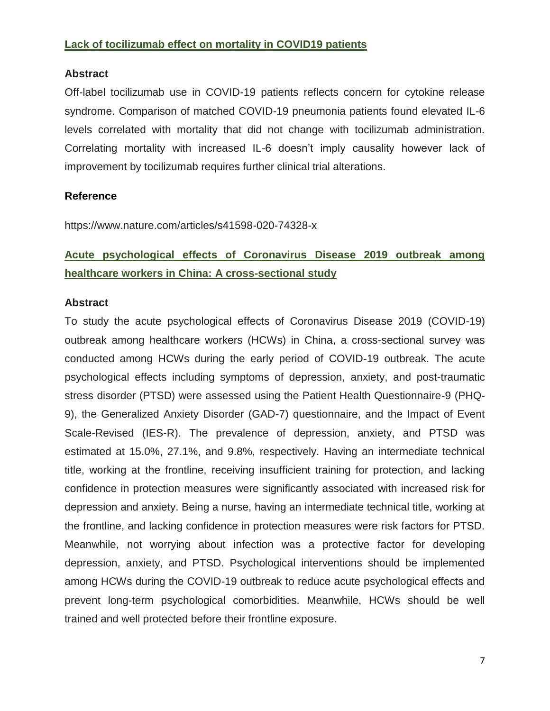### **Lack of tocilizumab effect on mortality in COVID19 patients**

#### **Abstract**

Off-label tocilizumab use in COVID-19 patients reflects concern for cytokine release syndrome. Comparison of matched COVID-19 pneumonia patients found elevated IL-6 levels correlated with mortality that did not change with tocilizumab administration. Correlating mortality with increased IL-6 doesn't imply causality however lack of improvement by tocilizumab requires further clinical trial alterations.

#### **Reference**

https://www.nature.com/articles/s41598-020-74328-x

## **Acute psychological effects of Coronavirus Disease 2019 outbreak among healthcare workers in China: A cross-sectional study**

#### **Abstract**

To study the acute psychological effects of Coronavirus Disease 2019 (COVID-19) outbreak among healthcare workers (HCWs) in China, a cross-sectional survey was conducted among HCWs during the early period of COVID-19 outbreak. The acute psychological effects including symptoms of depression, anxiety, and post-traumatic stress disorder (PTSD) were assessed using the Patient Health Questionnaire-9 (PHQ-9), the Generalized Anxiety Disorder (GAD-7) questionnaire, and the Impact of Event Scale-Revised (IES-R). The prevalence of depression, anxiety, and PTSD was estimated at 15.0%, 27.1%, and 9.8%, respectively. Having an intermediate technical title, working at the frontline, receiving insufficient training for protection, and lacking confidence in protection measures were significantly associated with increased risk for depression and anxiety. Being a nurse, having an intermediate technical title, working at the frontline, and lacking confidence in protection measures were risk factors for PTSD. Meanwhile, not worrying about infection was a protective factor for developing depression, anxiety, and PTSD. Psychological interventions should be implemented among HCWs during the COVID-19 outbreak to reduce acute psychological effects and prevent long-term psychological comorbidities. Meanwhile, HCWs should be well trained and well protected before their frontline exposure.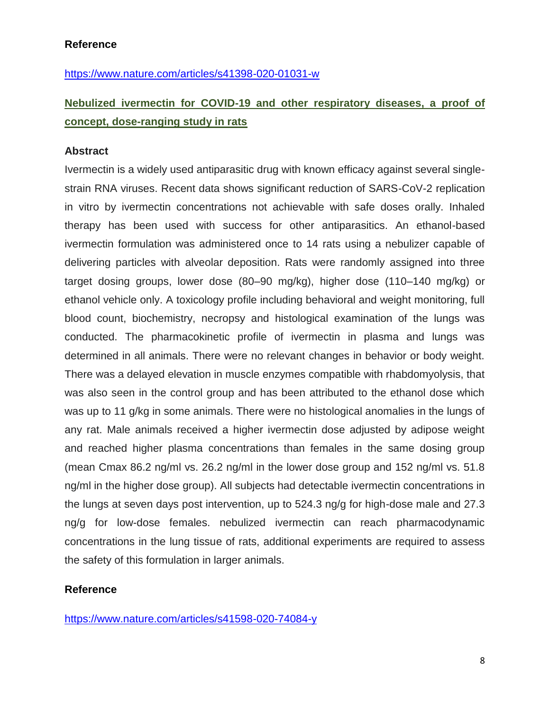#### **Reference**

<https://www.nature.com/articles/s41398-020-01031-w>

## **Nebulized ivermectin for COVID-19 and other respiratory diseases, a proof of concept, dose-ranging study in rats**

#### **Abstract**

Ivermectin is a widely used antiparasitic drug with known efficacy against several singlestrain RNA viruses. Recent data shows significant reduction of SARS-CoV-2 replication in vitro by ivermectin concentrations not achievable with safe doses orally. Inhaled therapy has been used with success for other antiparasitics. An ethanol-based ivermectin formulation was administered once to 14 rats using a nebulizer capable of delivering particles with alveolar deposition. Rats were randomly assigned into three target dosing groups, lower dose (80–90 mg/kg), higher dose (110–140 mg/kg) or ethanol vehicle only. A toxicology profile including behavioral and weight monitoring, full blood count, biochemistry, necropsy and histological examination of the lungs was conducted. The pharmacokinetic profile of ivermectin in plasma and lungs was determined in all animals. There were no relevant changes in behavior or body weight. There was a delayed elevation in muscle enzymes compatible with rhabdomyolysis, that was also seen in the control group and has been attributed to the ethanol dose which was up to 11 g/kg in some animals. There were no histological anomalies in the lungs of any rat. Male animals received a higher ivermectin dose adjusted by adipose weight and reached higher plasma concentrations than females in the same dosing group (mean Cmax 86.2 ng/ml vs. 26.2 ng/ml in the lower dose group and 152 ng/ml vs. 51.8 ng/ml in the higher dose group). All subjects had detectable ivermectin concentrations in the lungs at seven days post intervention, up to 524.3 ng/g for high-dose male and 27.3 ng/g for low-dose females. nebulized ivermectin can reach pharmacodynamic concentrations in the lung tissue of rats, additional experiments are required to assess the safety of this formulation in larger animals.

#### **Reference**

<https://www.nature.com/articles/s41598-020-74084-y>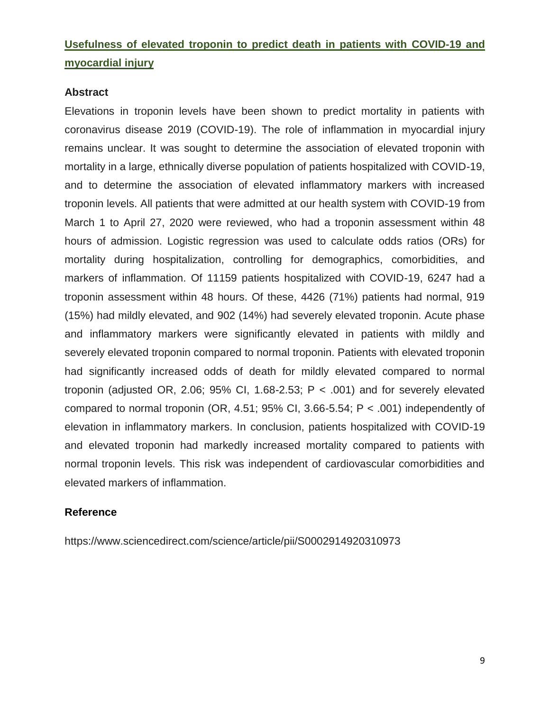## **Usefulness of elevated troponin to predict death in patients with COVID-19 and myocardial injury**

#### **Abstract**

Elevations in troponin levels have been shown to predict mortality in patients with coronavirus disease 2019 (COVID-19). The role of inflammation in myocardial injury remains unclear. It was sought to determine the association of elevated troponin with mortality in a large, ethnically diverse population of patients hospitalized with COVID-19, and to determine the association of elevated inflammatory markers with increased troponin levels. All patients that were admitted at our health system with COVID-19 from March 1 to April 27, 2020 were reviewed, who had a troponin assessment within 48 hours of admission. Logistic regression was used to calculate odds ratios (ORs) for mortality during hospitalization, controlling for demographics, comorbidities, and markers of inflammation. Of 11159 patients hospitalized with COVID-19, 6247 had a troponin assessment within 48 hours. Of these, 4426 (71%) patients had normal, 919 (15%) had mildly elevated, and 902 (14%) had severely elevated troponin. Acute phase and inflammatory markers were significantly elevated in patients with mildly and severely elevated troponin compared to normal troponin. Patients with elevated troponin had significantly increased odds of death for mildly elevated compared to normal troponin (adjusted OR, 2.06; 95% CI, 1.68-2.53;  $P < .001$ ) and for severely elevated compared to normal troponin (OR, 4.51; 95% CI, 3.66-5.54;  $P < .001$ ) independently of elevation in inflammatory markers. In conclusion, patients hospitalized with COVID-19 and elevated troponin had markedly increased mortality compared to patients with normal troponin levels. This risk was independent of cardiovascular comorbidities and elevated markers of inflammation.

#### **Reference**

https://www.sciencedirect.com/science/article/pii/S0002914920310973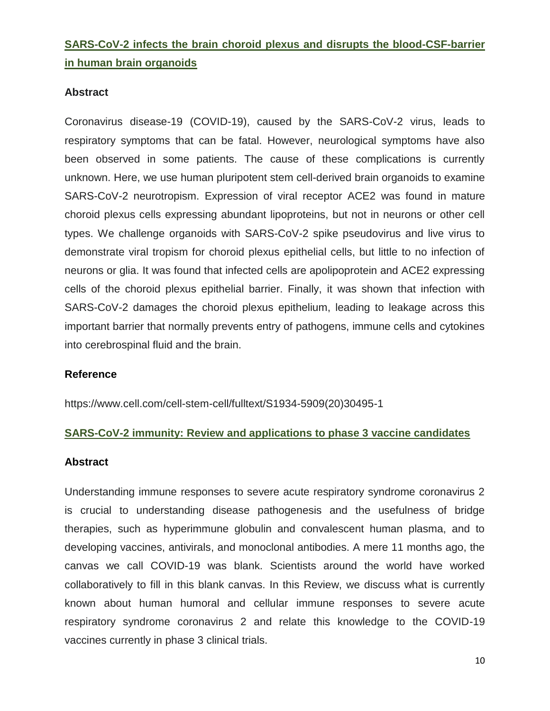## **SARS-CoV-2 infects the brain choroid plexus and disrupts the blood-CSF-barrier in human brain organoids**

#### **Abstract**

Coronavirus disease-19 (COVID-19), caused by the SARS-CoV-2 virus, leads to respiratory symptoms that can be fatal. However, neurological symptoms have also been observed in some patients. The cause of these complications is currently unknown. Here, we use human pluripotent stem cell-derived brain organoids to examine SARS-CoV-2 neurotropism. Expression of viral receptor ACE2 was found in mature choroid plexus cells expressing abundant lipoproteins, but not in neurons or other cell types. We challenge organoids with SARS-CoV-2 spike pseudovirus and live virus to demonstrate viral tropism for choroid plexus epithelial cells, but little to no infection of neurons or glia. It was found that infected cells are apolipoprotein and ACE2 expressing cells of the choroid plexus epithelial barrier. Finally, it was shown that infection with SARS-CoV-2 damages the choroid plexus epithelium, leading to leakage across this important barrier that normally prevents entry of pathogens, immune cells and cytokines into cerebrospinal fluid and the brain.

#### **Reference**

https://www.cell.com/cell-stem-cell/fulltext/S1934-5909(20)30495-1

#### **SARS-CoV-2 immunity: Review and applications to phase 3 vaccine candidates**

#### **Abstract**

Understanding immune responses to severe acute respiratory syndrome coronavirus 2 is crucial to understanding disease pathogenesis and the usefulness of bridge therapies, such as hyperimmune globulin and convalescent human plasma, and to developing vaccines, antivirals, and monoclonal antibodies. A mere 11 months ago, the canvas we call COVID-19 was blank. Scientists around the world have worked collaboratively to fill in this blank canvas. In this Review, we discuss what is currently known about human humoral and cellular immune responses to severe acute respiratory syndrome coronavirus 2 and relate this knowledge to the COVID-19 vaccines currently in phase 3 clinical trials.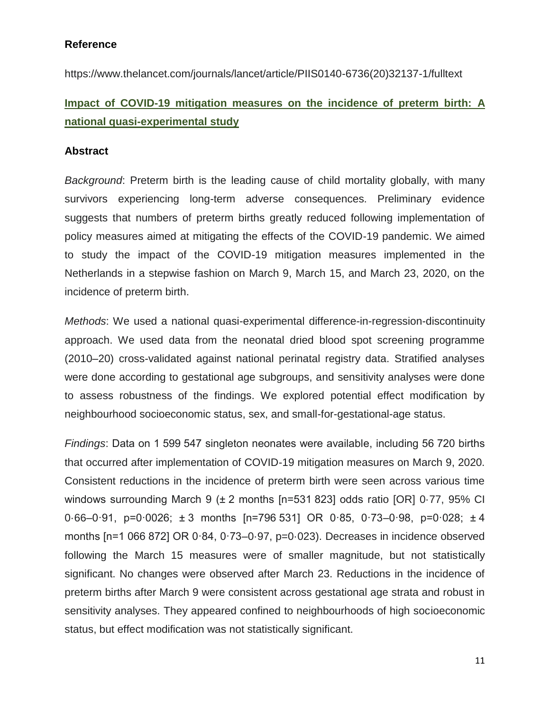#### **Reference**

https://www.thelancet.com/journals/lancet/article/PIIS0140-6736(20)32137-1/fulltext

## **Impact of COVID-19 mitigation measures on the incidence of preterm birth: A national quasi-experimental study**

#### **Abstract**

*Background*: Preterm birth is the leading cause of child mortality globally, with many survivors experiencing long-term adverse consequences. Preliminary evidence suggests that numbers of preterm births greatly reduced following implementation of policy measures aimed at mitigating the effects of the COVID-19 pandemic. We aimed to study the impact of the COVID-19 mitigation measures implemented in the Netherlands in a stepwise fashion on March 9, March 15, and March 23, 2020, on the incidence of preterm birth.

*Methods*: We used a national quasi-experimental difference-in-regression-discontinuity approach. We used data from the neonatal dried blood spot screening programme (2010–20) cross-validated against national perinatal registry data. Stratified analyses were done according to gestational age subgroups, and sensitivity analyses were done to assess robustness of the findings. We explored potential effect modification by neighbourhood socioeconomic status, sex, and small-for-gestational-age status.

*Findings*: Data on 1 599 547 singleton neonates were available, including 56 720 births that occurred after implementation of COVID-19 mitigation measures on March 9, 2020. Consistent reductions in the incidence of preterm birth were seen across various time windows surrounding March 9 (± 2 months [n=531 823] odds ratio [OR] 0.77, 95% CI 0·66–0·91, p=0·0026; ± 3 months [n=796 531] OR 0·85, 0·73–0·98, p=0·028; ± 4 months [n=1 066 872] OR 0·84, 0·73-0·97, p=0·023). Decreases in incidence observed following the March 15 measures were of smaller magnitude, but not statistically significant. No changes were observed after March 23. Reductions in the incidence of preterm births after March 9 were consistent across gestational age strata and robust in sensitivity analyses. They appeared confined to neighbourhoods of high socioeconomic status, but effect modification was not statistically significant.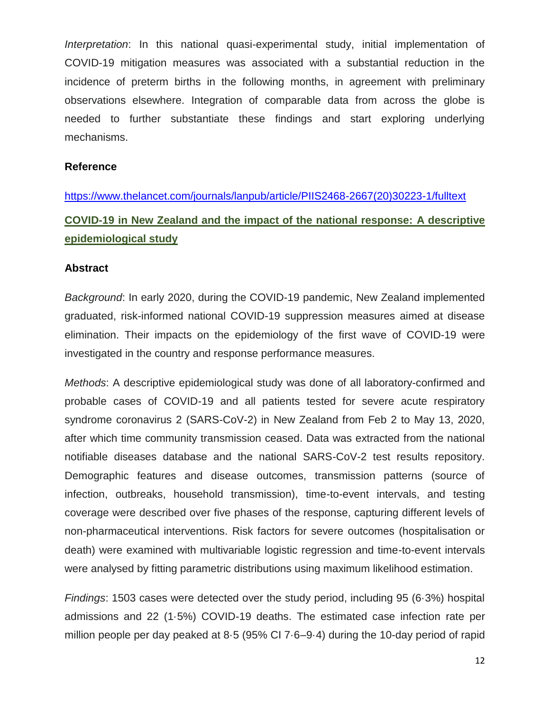*Interpretation*: In this national quasi-experimental study, initial implementation of COVID-19 mitigation measures was associated with a substantial reduction in the incidence of preterm births in the following months, in agreement with preliminary observations elsewhere. Integration of comparable data from across the globe is needed to further substantiate these findings and start exploring underlying mechanisms.

#### **Reference**

[https://www.thelancet.com/journals/lanpub/article/PIIS2468-2667\(20\)30223-1/fulltext](https://www.thelancet.com/journals/lanpub/article/PIIS2468-2667(20)30223-1/fulltext) **COVID-19 in New Zealand and the impact of the national response: A descriptive epidemiological study**

#### **Abstract**

*Background*: In early 2020, during the COVID-19 pandemic, New Zealand implemented graduated, risk-informed national COVID-19 suppression measures aimed at disease elimination. Their impacts on the epidemiology of the first wave of COVID-19 were investigated in the country and response performance measures.

*Methods*: A descriptive epidemiological study was done of all laboratory-confirmed and probable cases of COVID-19 and all patients tested for severe acute respiratory syndrome coronavirus 2 (SARS-CoV-2) in New Zealand from Feb 2 to May 13, 2020, after which time community transmission ceased. Data was extracted from the national notifiable diseases database and the national SARS-CoV-2 test results repository. Demographic features and disease outcomes, transmission patterns (source of infection, outbreaks, household transmission), time-to-event intervals, and testing coverage were described over five phases of the response, capturing different levels of non-pharmaceutical interventions. Risk factors for severe outcomes (hospitalisation or death) were examined with multivariable logistic regression and time-to-event intervals were analysed by fitting parametric distributions using maximum likelihood estimation.

*Findings*: 1503 cases were detected over the study period, including 95 (6·3%) hospital admissions and 22 (1·5%) COVID-19 deaths. The estimated case infection rate per million people per day peaked at 8·5 (95% CI 7·6–9·4) during the 10-day period of rapid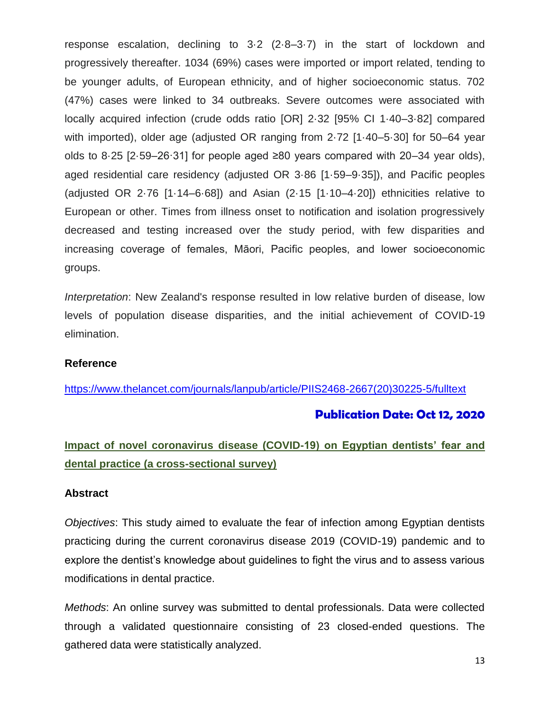response escalation, declining to 3·2 (2·8–3·7) in the start of lockdown and progressively thereafter. 1034 (69%) cases were imported or import related, tending to be younger adults, of European ethnicity, and of higher socioeconomic status. 702 (47%) cases were linked to 34 outbreaks. Severe outcomes were associated with locally acquired infection (crude odds ratio [OR] 2·32 [95% CI 1·40–3·82] compared with imported), older age (adjusted OR ranging from 2·72 [1·40–5·30] for 50–64 year olds to 8·25 [2·59–26·31] for people aged ≥80 years compared with 20–34 year olds), aged residential care residency (adjusted OR 3·86 [1·59–9·35]), and Pacific peoples (adjusted OR 2·76 [1·14–6·68]) and Asian (2·15 [1·10–4·20]) ethnicities relative to European or other. Times from illness onset to notification and isolation progressively decreased and testing increased over the study period, with few disparities and increasing coverage of females, Māori, Pacific peoples, and lower socioeconomic groups.

*Interpretation*: New Zealand's response resulted in low relative burden of disease, low levels of population disease disparities, and the initial achievement of COVID-19 elimination.

#### **Reference**

[https://www.thelancet.com/journals/lanpub/article/PIIS2468-2667\(20\)30225-5/fulltext](https://www.thelancet.com/journals/lanpub/article/PIIS2468-2667(20)30225-5/fulltext)

### **Publication Date: Oct 12, 2020**

## **Impact of novel coronavirus disease (COVID-19) on Egyptian dentists' fear and dental practice (a cross-sectional survey)**

#### **Abstract**

*Objectives*: This study aimed to evaluate the fear of infection among Egyptian dentists practicing during the current coronavirus disease 2019 (COVID-19) pandemic and to explore the dentist's knowledge about guidelines to fight the virus and to assess various modifications in dental practice.

*Methods*: An online survey was submitted to dental professionals. Data were collected through a validated questionnaire consisting of 23 closed-ended questions. The gathered data were statistically analyzed.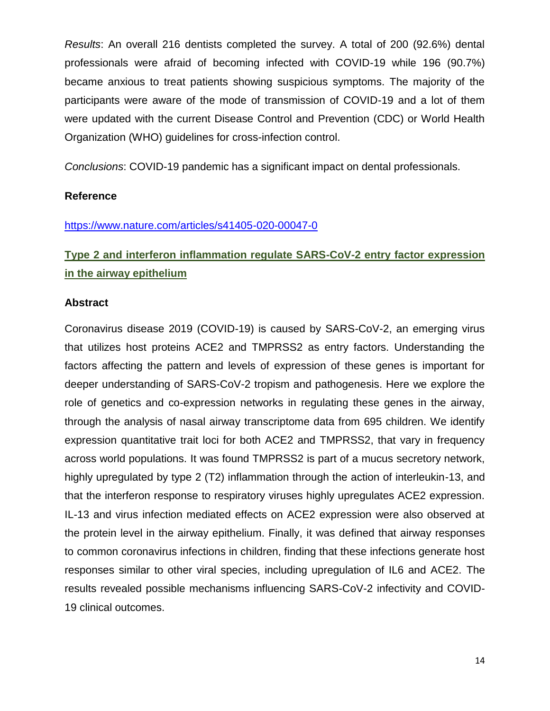*Results*: An overall 216 dentists completed the survey. A total of 200 (92.6%) dental professionals were afraid of becoming infected with COVID-19 while 196 (90.7%) became anxious to treat patients showing suspicious symptoms. The majority of the participants were aware of the mode of transmission of COVID-19 and a lot of them were updated with the current Disease Control and Prevention (CDC) or World Health Organization (WHO) guidelines for cross-infection control.

*Conclusions*: COVID-19 pandemic has a significant impact on dental professionals.

#### **Reference**

#### <https://www.nature.com/articles/s41405-020-00047-0>

# **Type 2 and interferon inflammation regulate SARS-CoV-2 entry factor expression in the airway epithelium**

#### **Abstract**

Coronavirus disease 2019 (COVID-19) is caused by SARS-CoV-2, an emerging virus that utilizes host proteins ACE2 and TMPRSS2 as entry factors. Understanding the factors affecting the pattern and levels of expression of these genes is important for deeper understanding of SARS-CoV-2 tropism and pathogenesis. Here we explore the role of genetics and co-expression networks in regulating these genes in the airway, through the analysis of nasal airway transcriptome data from 695 children. We identify expression quantitative trait loci for both ACE2 and TMPRSS2, that vary in frequency across world populations. It was found TMPRSS2 is part of a mucus secretory network, highly upregulated by type 2 (T2) inflammation through the action of interleukin-13, and that the interferon response to respiratory viruses highly upregulates ACE2 expression. IL-13 and virus infection mediated effects on ACE2 expression were also observed at the protein level in the airway epithelium. Finally, it was defined that airway responses to common coronavirus infections in children, finding that these infections generate host responses similar to other viral species, including upregulation of IL6 and ACE2. The results revealed possible mechanisms influencing SARS-CoV-2 infectivity and COVID-19 clinical outcomes.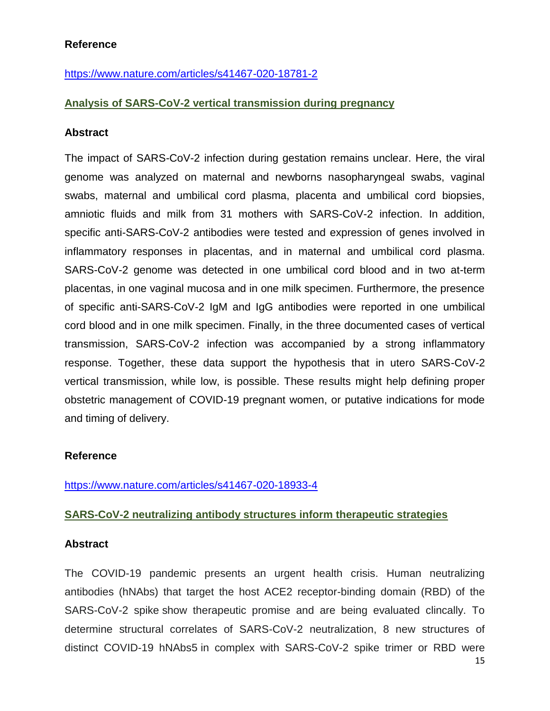#### **Reference**

<https://www.nature.com/articles/s41467-020-18781-2>

#### **Analysis of SARS-CoV-2 vertical transmission during pregnancy**

#### **Abstract**

The impact of SARS-CoV-2 infection during gestation remains unclear. Here, the viral genome was analyzed on maternal and newborns nasopharyngeal swabs, vaginal swabs, maternal and umbilical cord plasma, placenta and umbilical cord biopsies, amniotic fluids and milk from 31 mothers with SARS-CoV-2 infection. In addition, specific anti-SARS-CoV-2 antibodies were tested and expression of genes involved in inflammatory responses in placentas, and in maternal and umbilical cord plasma. SARS-CoV-2 genome was detected in one umbilical cord blood and in two at-term placentas, in one vaginal mucosa and in one milk specimen. Furthermore, the presence of specific anti-SARS-CoV-2 IgM and IgG antibodies were reported in one umbilical cord blood and in one milk specimen. Finally, in the three documented cases of vertical transmission, SARS-CoV-2 infection was accompanied by a strong inflammatory response. Together, these data support the hypothesis that in utero SARS-CoV-2 vertical transmission, while low, is possible. These results might help defining proper obstetric management of COVID-19 pregnant women, or putative indications for mode and timing of delivery.

#### **Reference**

<https://www.nature.com/articles/s41467-020-18933-4>

#### **SARS-CoV-2 neutralizing antibody structures inform therapeutic strategies**

#### **Abstract**

The COVID-19 pandemic presents an urgent health crisis. Human neutralizing antibodies (hNAbs) that target the host ACE2 receptor-binding domain (RBD) of the SARS-CoV-2 spike show therapeutic promise and are being evaluated clincally. To determine structural correlates of SARS-CoV-2 neutralization, 8 new structures of distinct COVID-19 hNAbs5 in complex with SARS-CoV-2 spike trimer or RBD were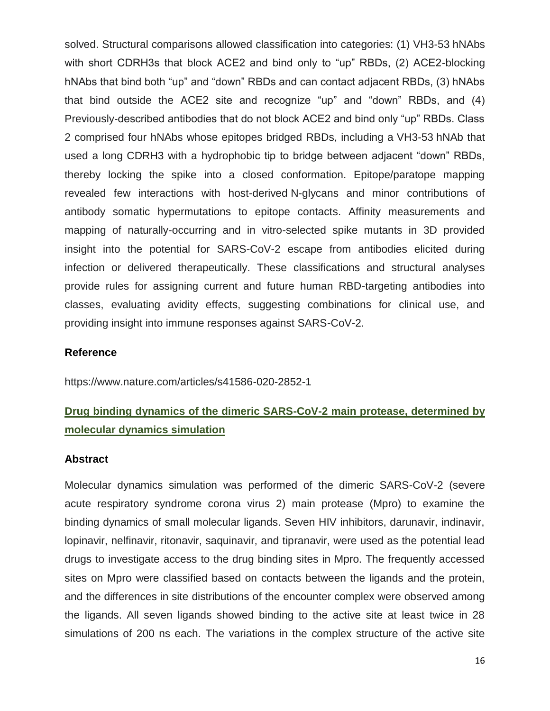solved. Structural comparisons allowed classification into categories: (1) VH3-53 hNAbs with short CDRH3s that block ACE2 and bind only to "up" RBDs, (2) ACE2-blocking hNAbs that bind both "up" and "down" RBDs and can contact adjacent RBDs, (3) hNAbs that bind outside the ACE2 site and recognize "up" and "down" RBDs, and (4) Previously-described antibodies that do not block ACE2 and bind only "up" RBDs. Class 2 comprised four hNAbs whose epitopes bridged RBDs, including a VH3-53 hNAb that used a long CDRH3 with a hydrophobic tip to bridge between adjacent "down" RBDs, thereby locking the spike into a closed conformation. Epitope/paratope mapping revealed few interactions with host-derived N-glycans and minor contributions of antibody somatic hypermutations to epitope contacts. Affinity measurements and mapping of naturally-occurring and in vitro-selected spike mutants in 3D provided insight into the potential for SARS-CoV-2 escape from antibodies elicited during infection or delivered therapeutically. These classifications and structural analyses provide rules for assigning current and future human RBD-targeting antibodies into classes, evaluating avidity effects, suggesting combinations for clinical use, and providing insight into immune responses against SARS-CoV-2.

#### **Reference**

https://www.nature.com/articles/s41586-020-2852-1

## **Drug binding dynamics of the dimeric SARS-CoV-2 main protease, determined by molecular dynamics simulation**

#### **Abstract**

Molecular dynamics simulation was performed of the dimeric SARS-CoV-2 (severe acute respiratory syndrome corona virus 2) main protease (Mpro) to examine the binding dynamics of small molecular ligands. Seven HIV inhibitors, darunavir, indinavir, lopinavir, nelfinavir, ritonavir, saquinavir, and tipranavir, were used as the potential lead drugs to investigate access to the drug binding sites in Mpro. The frequently accessed sites on Mpro were classified based on contacts between the ligands and the protein, and the differences in site distributions of the encounter complex were observed among the ligands. All seven ligands showed binding to the active site at least twice in 28 simulations of 200 ns each. The variations in the complex structure of the active site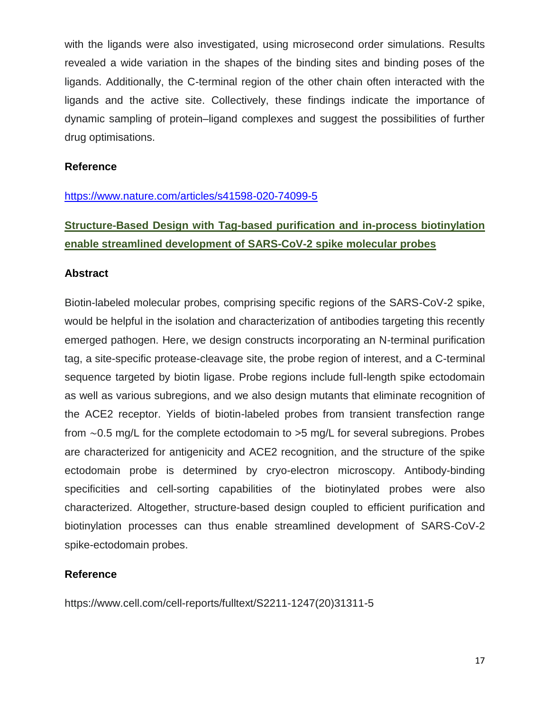with the ligands were also investigated, using microsecond order simulations. Results revealed a wide variation in the shapes of the binding sites and binding poses of the ligands. Additionally, the C-terminal region of the other chain often interacted with the ligands and the active site. Collectively, these findings indicate the importance of dynamic sampling of protein–ligand complexes and suggest the possibilities of further drug optimisations.

#### **Reference**

#### <https://www.nature.com/articles/s41598-020-74099-5>

## **Structure-Based Design with Tag-based purification and in-process biotinylation enable streamlined development of SARS-CoV-2 spike molecular probes**

#### **Abstract**

Biotin-labeled molecular probes, comprising specific regions of the SARS-CoV-2 spike, would be helpful in the isolation and characterization of antibodies targeting this recently emerged pathogen. Here, we design constructs incorporating an N-terminal purification tag, a site-specific protease-cleavage site, the probe region of interest, and a C-terminal sequence targeted by biotin ligase. Probe regions include full-length spike ectodomain as well as various subregions, and we also design mutants that eliminate recognition of the ACE2 receptor. Yields of biotin-labeled probes from transient transfection range from ∼0.5 mg/L for the complete ectodomain to >5 mg/L for several subregions. Probes are characterized for antigenicity and ACE2 recognition, and the structure of the spike ectodomain probe is determined by cryo-electron microscopy. Antibody-binding specificities and cell-sorting capabilities of the biotinylated probes were also characterized. Altogether, structure-based design coupled to efficient purification and biotinylation processes can thus enable streamlined development of SARS-CoV-2 spike-ectodomain probes.

#### **Reference**

https://www.cell.com/cell-reports/fulltext/S2211-1247(20)31311-5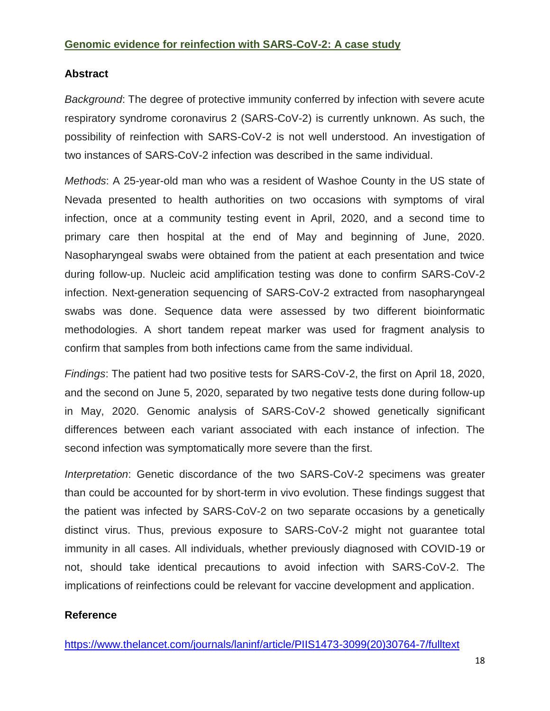#### **Genomic evidence for reinfection with SARS-CoV-2: A case study**

#### **Abstract**

*Background*: The degree of protective immunity conferred by infection with severe acute respiratory syndrome coronavirus 2 (SARS-CoV-2) is currently unknown. As such, the possibility of reinfection with SARS-CoV-2 is not well understood. An investigation of two instances of SARS-CoV-2 infection was described in the same individual.

*Methods*: A 25-year-old man who was a resident of Washoe County in the US state of Nevada presented to health authorities on two occasions with symptoms of viral infection, once at a community testing event in April, 2020, and a second time to primary care then hospital at the end of May and beginning of June, 2020. Nasopharyngeal swabs were obtained from the patient at each presentation and twice during follow-up. Nucleic acid amplification testing was done to confirm SARS-CoV-2 infection. Next-generation sequencing of SARS-CoV-2 extracted from nasopharyngeal swabs was done. Sequence data were assessed by two different bioinformatic methodologies. A short tandem repeat marker was used for fragment analysis to confirm that samples from both infections came from the same individual.

*Findings*: The patient had two positive tests for SARS-CoV-2, the first on April 18, 2020, and the second on June 5, 2020, separated by two negative tests done during follow-up in May, 2020. Genomic analysis of SARS-CoV-2 showed genetically significant differences between each variant associated with each instance of infection. The second infection was symptomatically more severe than the first.

*Interpretation*: Genetic discordance of the two SARS-CoV-2 specimens was greater than could be accounted for by short-term in vivo evolution. These findings suggest that the patient was infected by SARS-CoV-2 on two separate occasions by a genetically distinct virus. Thus, previous exposure to SARS-CoV-2 might not guarantee total immunity in all cases. All individuals, whether previously diagnosed with COVID-19 or not, should take identical precautions to avoid infection with SARS-CoV-2. The implications of reinfections could be relevant for vaccine development and application.

#### **Reference**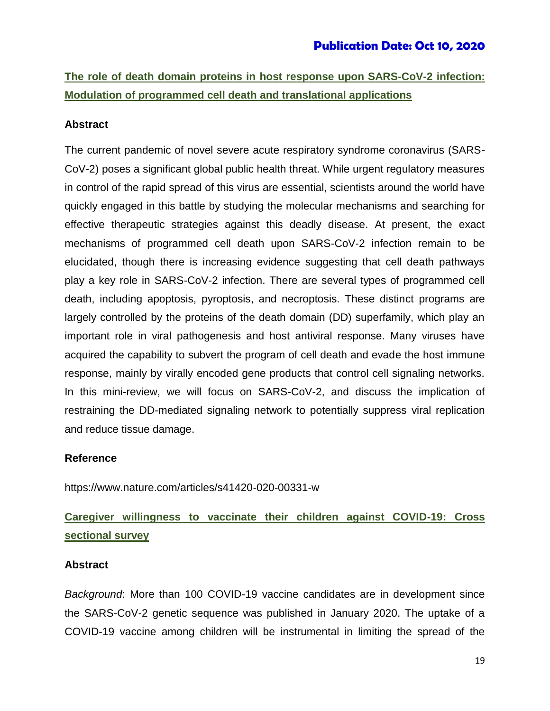**The role of death domain proteins in host response upon SARS-CoV-2 infection: Modulation of programmed cell death and translational applications**

#### **Abstract**

The current pandemic of novel severe acute respiratory syndrome coronavirus (SARS-CoV-2) poses a significant global public health threat. While urgent regulatory measures in control of the rapid spread of this virus are essential, scientists around the world have quickly engaged in this battle by studying the molecular mechanisms and searching for effective therapeutic strategies against this deadly disease. At present, the exact mechanisms of programmed cell death upon SARS-CoV-2 infection remain to be elucidated, though there is increasing evidence suggesting that cell death pathways play a key role in SARS-CoV-2 infection. There are several types of programmed cell death, including apoptosis, pyroptosis, and necroptosis. These distinct programs are largely controlled by the proteins of the death domain (DD) superfamily, which play an important role in viral pathogenesis and host antiviral response. Many viruses have acquired the capability to subvert the program of cell death and evade the host immune response, mainly by virally encoded gene products that control cell signaling networks. In this mini-review, we will focus on SARS-CoV-2, and discuss the implication of restraining the DD-mediated signaling network to potentially suppress viral replication and reduce tissue damage.

#### **Reference**

https://www.nature.com/articles/s41420-020-00331-w

## **Caregiver willingness to vaccinate their children against COVID-19: Cross sectional survey**

#### **Abstract**

*Background*: More than 100 COVID-19 vaccine candidates are in development since the SARS-CoV-2 genetic sequence was published in January 2020. The uptake of a COVID-19 vaccine among children will be instrumental in limiting the spread of the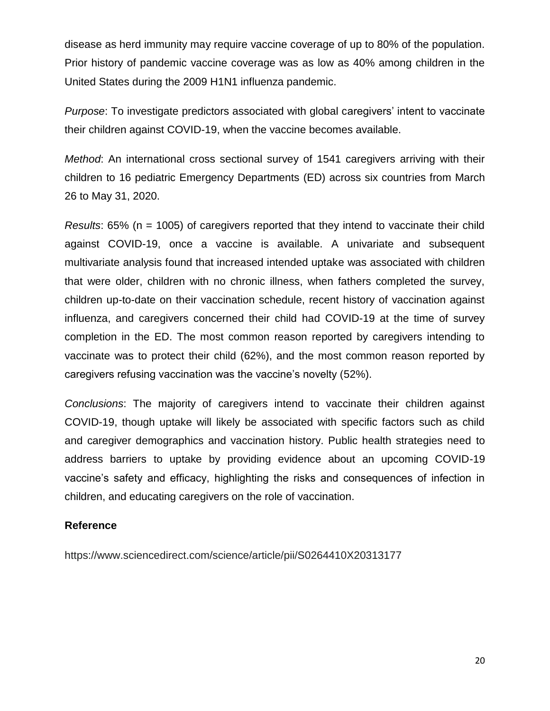disease as herd immunity may require vaccine coverage of up to 80% of the population. Prior history of pandemic vaccine coverage was as low as 40% among children in the United States during the 2009 H1N1 influenza pandemic.

*Purpose*: To investigate predictors associated with global caregivers' intent to vaccinate their children against COVID-19, when the vaccine becomes available.

*Method*: An international cross sectional survey of 1541 caregivers arriving with their children to 16 pediatric Emergency Departments (ED) across six countries from March 26 to May 31, 2020.

*Results*: 65% (n = 1005) of caregivers reported that they intend to vaccinate their child against COVID-19, once a vaccine is available. A univariate and subsequent multivariate analysis found that increased intended uptake was associated with children that were older, children with no chronic illness, when fathers completed the survey, children up-to-date on their vaccination schedule, recent history of vaccination against influenza, and caregivers concerned their child had COVID-19 at the time of survey completion in the ED. The most common reason reported by caregivers intending to vaccinate was to protect their child (62%), and the most common reason reported by caregivers refusing vaccination was the vaccine's novelty (52%).

*Conclusions*: The majority of caregivers intend to vaccinate their children against COVID-19, though uptake will likely be associated with specific factors such as child and caregiver demographics and vaccination history. Public health strategies need to address barriers to uptake by providing evidence about an upcoming COVID-19 vaccine's safety and efficacy, highlighting the risks and consequences of infection in children, and educating caregivers on the role of vaccination.

#### **Reference**

https://www.sciencedirect.com/science/article/pii/S0264410X20313177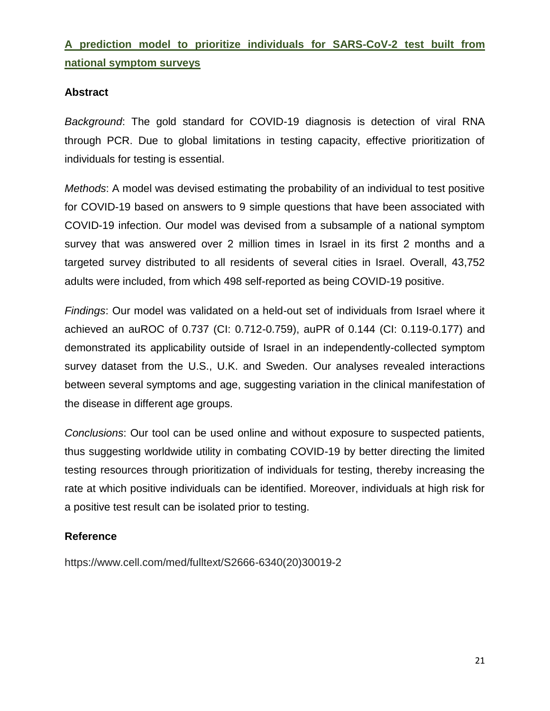# **A prediction model to prioritize individuals for SARS-CoV-2 test built from national symptom surveys**

#### **Abstract**

*Background*: The gold standard for COVID-19 diagnosis is detection of viral RNA through PCR. Due to global limitations in testing capacity, effective prioritization of individuals for testing is essential.

*Methods*: A model was devised estimating the probability of an individual to test positive for COVID-19 based on answers to 9 simple questions that have been associated with COVID-19 infection. Our model was devised from a subsample of a national symptom survey that was answered over 2 million times in Israel in its first 2 months and a targeted survey distributed to all residents of several cities in Israel. Overall, 43,752 adults were included, from which 498 self-reported as being COVID-19 positive.

*Findings*: Our model was validated on a held-out set of individuals from Israel where it achieved an auROC of 0.737 (CI: 0.712-0.759), auPR of 0.144 (CI: 0.119-0.177) and demonstrated its applicability outside of Israel in an independently-collected symptom survey dataset from the U.S., U.K. and Sweden. Our analyses revealed interactions between several symptoms and age, suggesting variation in the clinical manifestation of the disease in different age groups.

*Conclusions*: Our tool can be used online and without exposure to suspected patients, thus suggesting worldwide utility in combating COVID-19 by better directing the limited testing resources through prioritization of individuals for testing, thereby increasing the rate at which positive individuals can be identified. Moreover, individuals at high risk for a positive test result can be isolated prior to testing.

### **Reference**

https://www.cell.com/med/fulltext/S2666-6340(20)30019-2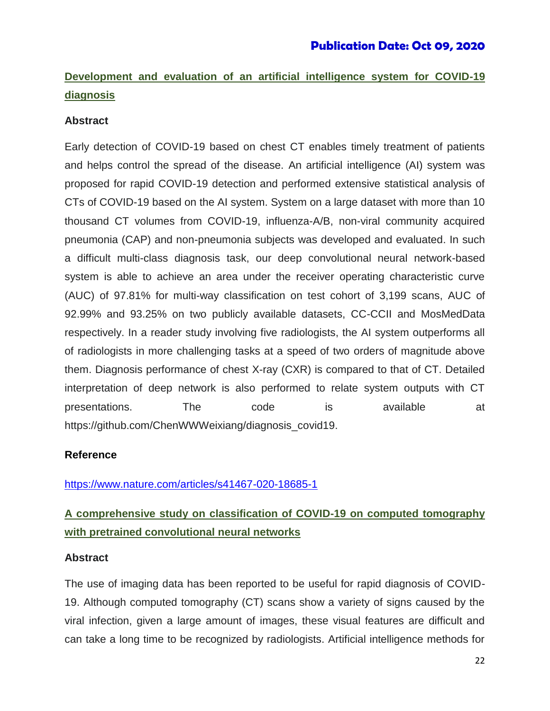# **Development and evaluation of an artificial intelligence system for COVID-19 diagnosis**

#### **Abstract**

Early detection of COVID-19 based on chest CT enables timely treatment of patients and helps control the spread of the disease. An artificial intelligence (AI) system was proposed for rapid COVID-19 detection and performed extensive statistical analysis of CTs of COVID-19 based on the AI system. System on a large dataset with more than 10 thousand CT volumes from COVID-19, influenza-A/B, non-viral community acquired pneumonia (CAP) and non-pneumonia subjects was developed and evaluated. In such a difficult multi-class diagnosis task, our deep convolutional neural network-based system is able to achieve an area under the receiver operating characteristic curve (AUC) of 97.81% for multi-way classification on test cohort of 3,199 scans, AUC of 92.99% and 93.25% on two publicly available datasets, CC-CCII and MosMedData respectively. In a reader study involving five radiologists, the AI system outperforms all of radiologists in more challenging tasks at a speed of two orders of magnitude above them. Diagnosis performance of chest X-ray (CXR) is compared to that of CT. Detailed interpretation of deep network is also performed to relate system outputs with CT presentations. The code is available at https://github.com/ChenWWWeixiang/diagnosis\_covid19.

#### **Reference**

<https://www.nature.com/articles/s41467-020-18685-1>

# **A comprehensive study on classification of COVID-19 on computed tomography with pretrained convolutional neural networks**

#### **Abstract**

The use of imaging data has been reported to be useful for rapid diagnosis of COVID-19. Although computed tomography (CT) scans show a variety of signs caused by the viral infection, given a large amount of images, these visual features are difficult and can take a long time to be recognized by radiologists. Artificial intelligence methods for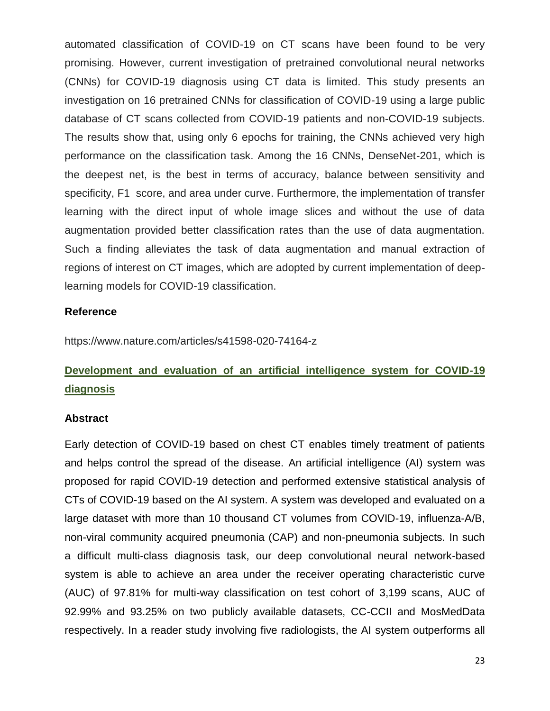automated classification of COVID-19 on CT scans have been found to be very promising. However, current investigation of pretrained convolutional neural networks (CNNs) for COVID-19 diagnosis using CT data is limited. This study presents an investigation on 16 pretrained CNNs for classification of COVID-19 using a large public database of CT scans collected from COVID-19 patients and non-COVID-19 subjects. The results show that, using only 6 epochs for training, the CNNs achieved very high performance on the classification task. Among the 16 CNNs, DenseNet-201, which is the deepest net, is the best in terms of accuracy, balance between sensitivity and specificity, F1 score, and area under curve. Furthermore, the implementation of transfer learning with the direct input of whole image slices and without the use of data augmentation provided better classification rates than the use of data augmentation. Such a finding alleviates the task of data augmentation and manual extraction of regions of interest on CT images, which are adopted by current implementation of deeplearning models for COVID-19 classification.

#### **Reference**

https://www.nature.com/articles/s41598-020-74164-z

# **Development and evaluation of an artificial intelligence system for COVID-19 diagnosis**

#### **Abstract**

Early detection of COVID-19 based on chest CT enables timely treatment of patients and helps control the spread of the disease. An artificial intelligence (AI) system was proposed for rapid COVID-19 detection and performed extensive statistical analysis of CTs of COVID-19 based on the AI system. A system was developed and evaluated on a large dataset with more than 10 thousand CT volumes from COVID-19, influenza-A/B, non-viral community acquired pneumonia (CAP) and non-pneumonia subjects. In such a difficult multi-class diagnosis task, our deep convolutional neural network-based system is able to achieve an area under the receiver operating characteristic curve (AUC) of 97.81% for multi-way classification on test cohort of 3,199 scans, AUC of 92.99% and 93.25% on two publicly available datasets, CC-CCII and MosMedData respectively. In a reader study involving five radiologists, the AI system outperforms all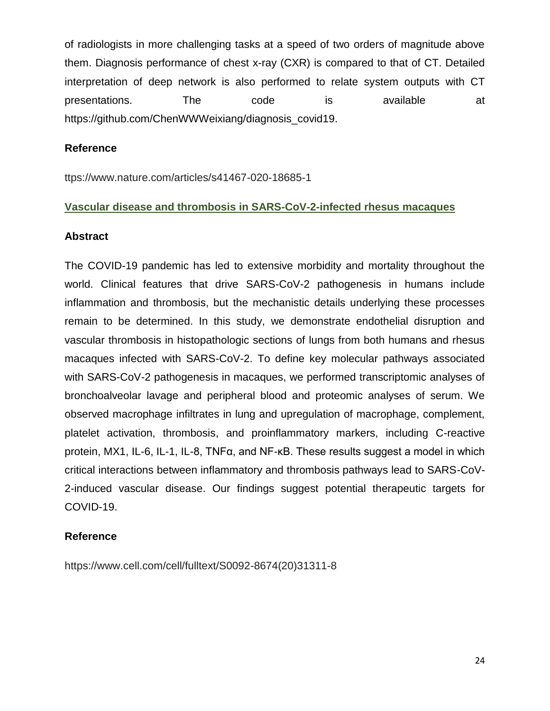of radiologists in more challenging tasks at a speed of two orders of magnitude above them. Diagnosis performance of chest x-ray (CXR) is compared to that of CT. Detailed interpretation of deep network is also performed to relate system outputs with CT presentations. The code is available at https://github.com/ChenWWWeixiang/diagnosis\_covid19.

#### **Reference**

ttps://www.nature.com/articles/s41467-020-18685-1

#### **Vascular disease and thrombosis in SARS-CoV-2-infected rhesus macaques**

#### **Abstract**

The COVID-19 pandemic has led to extensive morbidity and mortality throughout the world. Clinical features that drive SARS-CoV-2 pathogenesis in humans include inflammation and thrombosis, but the mechanistic details underlying these processes remain to be determined. In this study, we demonstrate endothelial disruption and vascular thrombosis in histopathologic sections of lungs from both humans and rhesus macaques infected with SARS-CoV-2. To define key molecular pathways associated with SARS-CoV-2 pathogenesis in macaques, we performed transcriptomic analyses of bronchoalveolar lavage and peripheral blood and proteomic analyses of serum. We observed macrophage infiltrates in lung and upregulation of macrophage, complement, platelet activation, thrombosis, and proinflammatory markers, including C-reactive protein, MX1, IL-6, IL-1, IL-8, TNFα, and NF-κB. These results suggest a model in which critical interactions between inflammatory and thrombosis pathways lead to SARS-CoV-2-induced vascular disease. Our findings suggest potential therapeutic targets for COVID-19.

#### **Reference**

https://www.cell.com/cell/fulltext/S0092-8674(20)31311-8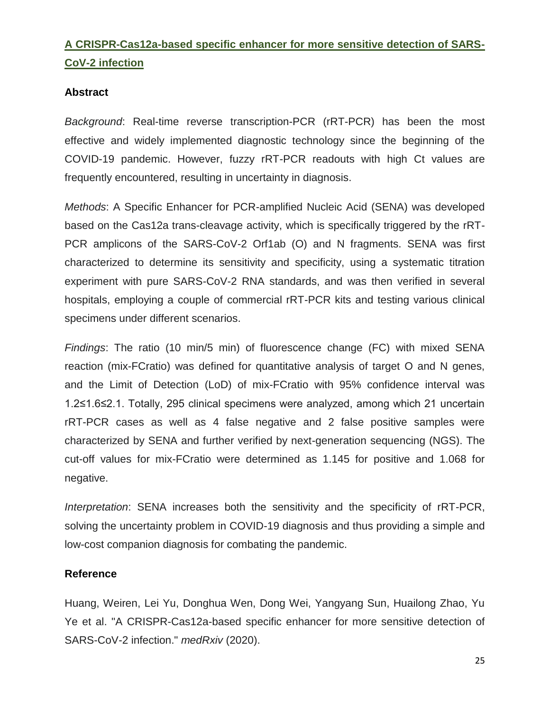## **A CRISPR-Cas12a-based specific enhancer for more sensitive detection of SARS-CoV-2 infection**

#### **Abstract**

*Background*: Real-time reverse transcription-PCR (rRT-PCR) has been the most effective and widely implemented diagnostic technology since the beginning of the COVID-19 pandemic. However, fuzzy rRT-PCR readouts with high Ct values are frequently encountered, resulting in uncertainty in diagnosis.

*Methods*: A Specific Enhancer for PCR-amplified Nucleic Acid (SENA) was developed based on the Cas12a trans-cleavage activity, which is specifically triggered by the rRT-PCR amplicons of the SARS-CoV-2 Orf1ab (O) and N fragments. SENA was first characterized to determine its sensitivity and specificity, using a systematic titration experiment with pure SARS-CoV-2 RNA standards, and was then verified in several hospitals, employing a couple of commercial rRT-PCR kits and testing various clinical specimens under different scenarios.

*Findings*: The ratio (10 min/5 min) of fluorescence change (FC) with mixed SENA reaction (mix-FCratio) was defined for quantitative analysis of target O and N genes, and the Limit of Detection (LoD) of mix-FCratio with 95% confidence interval was 1.2≤1.6≤2.1. Totally, 295 clinical specimens were analyzed, among which 21 uncertain rRT-PCR cases as well as 4 false negative and 2 false positive samples were characterized by SENA and further verified by next-generation sequencing (NGS). The cut-off values for mix-FCratio were determined as 1.145 for positive and 1.068 for negative.

*Interpretation*: SENA increases both the sensitivity and the specificity of rRT-PCR, solving the uncertainty problem in COVID-19 diagnosis and thus providing a simple and low-cost companion diagnosis for combating the pandemic.

#### **Reference**

Huang, Weiren, Lei Yu, Donghua Wen, Dong Wei, Yangyang Sun, Huailong Zhao, Yu Ye et al. "A CRISPR-Cas12a-based specific enhancer for more sensitive detection of SARS-CoV-2 infection." *medRxiv* (2020).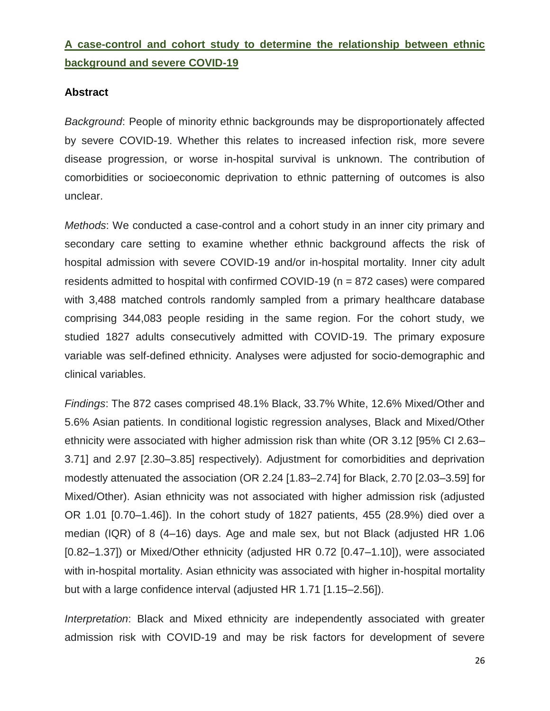## **A case-control and cohort study to determine the relationship between ethnic background and severe COVID-19**

#### **Abstract**

*Background*: People of minority ethnic backgrounds may be disproportionately affected by severe COVID-19. Whether this relates to increased infection risk, more severe disease progression, or worse in-hospital survival is unknown. The contribution of comorbidities or socioeconomic deprivation to ethnic patterning of outcomes is also unclear.

*Methods*: We conducted a case-control and a cohort study in an inner city primary and secondary care setting to examine whether ethnic background affects the risk of hospital admission with severe COVID-19 and/or in-hospital mortality. Inner city adult residents admitted to hospital with confirmed COVID-19 (n = 872 cases) were compared with 3,488 matched controls randomly sampled from a primary healthcare database comprising 344,083 people residing in the same region. For the cohort study, we studied 1827 adults consecutively admitted with COVID-19. The primary exposure variable was self-defined ethnicity. Analyses were adjusted for socio-demographic and clinical variables.

*Findings*: The 872 cases comprised 48.1% Black, 33.7% White, 12.6% Mixed/Other and 5.6% Asian patients. In conditional logistic regression analyses, Black and Mixed/Other ethnicity were associated with higher admission risk than white (OR 3.12 [95% CI 2.63– 3.71] and 2.97 [2.30–3.85] respectively). Adjustment for comorbidities and deprivation modestly attenuated the association (OR 2.24 [1.83–2.74] for Black, 2.70 [2.03–3.59] for Mixed/Other). Asian ethnicity was not associated with higher admission risk (adjusted OR 1.01 [0.70–1.46]). In the cohort study of 1827 patients, 455 (28.9%) died over a median (IQR) of 8 (4–16) days. Age and male sex, but not Black (adjusted HR 1.06 [0.82–1.37]) or Mixed/Other ethnicity (adjusted HR 0.72 [0.47–1.10]), were associated with in-hospital mortality. Asian ethnicity was associated with higher in-hospital mortality but with a large confidence interval (adjusted HR 1.71 [1.15–2.56]).

*Interpretation*: Black and Mixed ethnicity are independently associated with greater admission risk with COVID-19 and may be risk factors for development of severe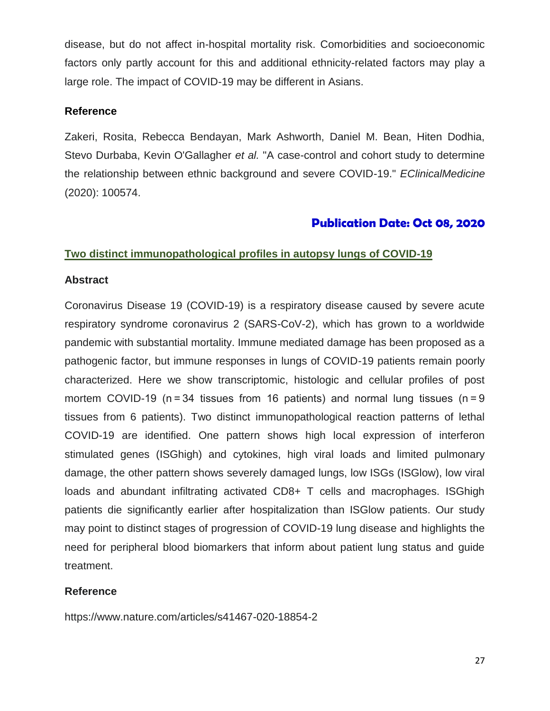disease, but do not affect in-hospital mortality risk. Comorbidities and socioeconomic factors only partly account for this and additional ethnicity-related factors may play a large role. The impact of COVID-19 may be different in Asians.

#### **Reference**

Zakeri, Rosita, Rebecca Bendayan, Mark Ashworth, Daniel M. Bean, Hiten Dodhia, Stevo Durbaba, Kevin O'Gallagher *et al.* "A case-control and cohort study to determine the relationship between ethnic background and severe COVID-19." *EClinicalMedicine* (2020): 100574.

## **Publication Date: Oct 08, 2020**

#### **Two distinct immunopathological profiles in autopsy lungs of COVID-19**

#### **Abstract**

Coronavirus Disease 19 (COVID-19) is a respiratory disease caused by severe acute respiratory syndrome coronavirus 2 (SARS-CoV-2), which has grown to a worldwide pandemic with substantial mortality. Immune mediated damage has been proposed as a pathogenic factor, but immune responses in lungs of COVID-19 patients remain poorly characterized. Here we show transcriptomic, histologic and cellular profiles of post mortem COVID-19 ( $n = 34$  tissues from 16 patients) and normal lung tissues ( $n = 9$ tissues from 6 patients). Two distinct immunopathological reaction patterns of lethal COVID-19 are identified. One pattern shows high local expression of interferon stimulated genes (ISGhigh) and cytokines, high viral loads and limited pulmonary damage, the other pattern shows severely damaged lungs, low ISGs (ISGlow), low viral loads and abundant infiltrating activated CD8+ T cells and macrophages. ISGhigh patients die significantly earlier after hospitalization than ISGlow patients. Our study may point to distinct stages of progression of COVID-19 lung disease and highlights the need for peripheral blood biomarkers that inform about patient lung status and guide treatment.

### **Reference**

https://www.nature.com/articles/s41467-020-18854-2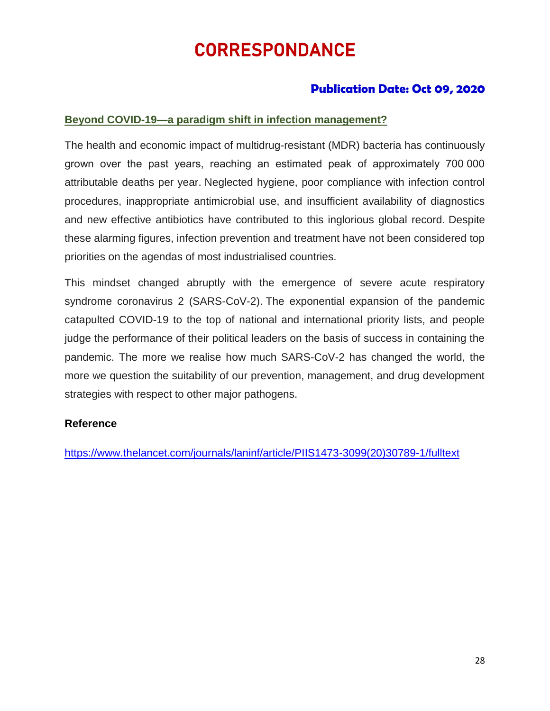# CORRESPONDANCE

## **Publication Date: Oct 09, 2020**

#### **Beyond COVID-19—a paradigm shift in infection management?**

The health and economic impact of multidrug-resistant (MDR) bacteria has continuously grown over the past years, reaching an estimated peak of approximately 700 000 attributable deaths per year. Neglected hygiene, poor compliance with infection control procedures, inappropriate antimicrobial use, and insufficient availability of diagnostics and new effective antibiotics have contributed to this inglorious global record. Despite these alarming figures, infection prevention and treatment have not been considered top priorities on the agendas of most industrialised countries.

This mindset changed abruptly with the emergence of severe acute respiratory syndrome coronavirus 2 (SARS-CoV-2). The exponential expansion of the pandemic catapulted COVID-19 to the top of national and international priority lists, and people judge the performance of their political leaders on the basis of success in containing the pandemic. The more we realise how much SARS-CoV-2 has changed the world, the more we question the suitability of our prevention, management, and drug development strategies with respect to other major pathogens.

#### **Reference**

[https://www.thelancet.com/journals/laninf/article/PIIS1473-3099\(20\)30789-1/fulltext](https://www.thelancet.com/journals/laninf/article/PIIS1473-3099(20)30789-1/fulltext)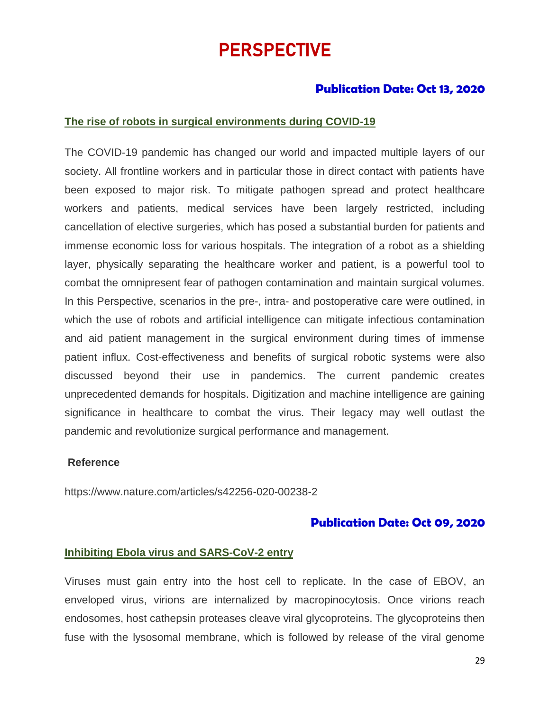# PERSPECTIVE

## **Publication Date: Oct 13, 2020**

#### **The rise of robots in surgical environments during COVID-19**

The COVID-19 pandemic has changed our world and impacted multiple layers of our society. All frontline workers and in particular those in direct contact with patients have been exposed to major risk. To mitigate pathogen spread and protect healthcare workers and patients, medical services have been largely restricted, including cancellation of elective surgeries, which has posed a substantial burden for patients and immense economic loss for various hospitals. The integration of a robot as a shielding layer, physically separating the healthcare worker and patient, is a powerful tool to combat the omnipresent fear of pathogen contamination and maintain surgical volumes. In this Perspective, scenarios in the pre-, intra- and postoperative care were outlined, in which the use of robots and artificial intelligence can mitigate infectious contamination and aid patient management in the surgical environment during times of immense patient influx. Cost-effectiveness and benefits of surgical robotic systems were also discussed beyond their use in pandemics. The current pandemic creates unprecedented demands for hospitals. Digitization and machine intelligence are gaining significance in healthcare to combat the virus. Their legacy may well outlast the pandemic and revolutionize surgical performance and management.

#### **Reference**

https://www.nature.com/articles/s42256-020-00238-2

### **Publication Date: Oct 09, 2020**

#### **Inhibiting Ebola virus and SARS-CoV-2 entry**

Viruses must gain entry into the host cell to replicate. In the case of EBOV, an enveloped virus, virions are internalized by macropinocytosis. Once virions reach endosomes, host cathepsin proteases cleave viral glycoproteins. The glycoproteins then fuse with the lysosomal membrane, which is followed by release of the viral genome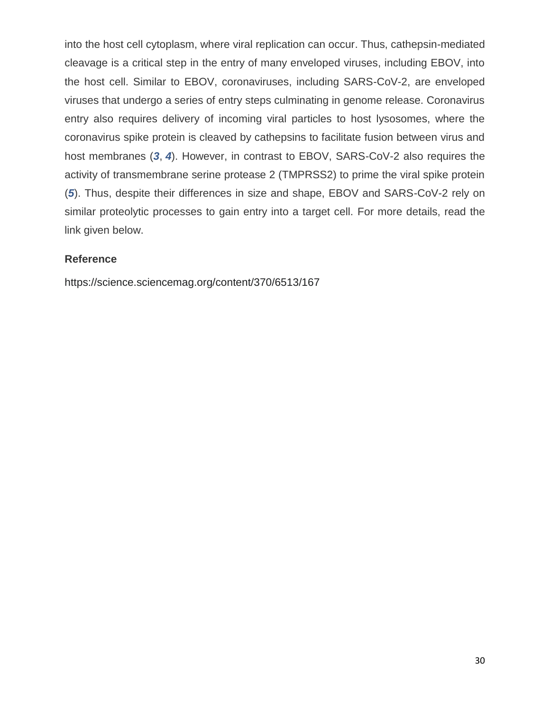into the host cell cytoplasm, where viral replication can occur. Thus, cathepsin-mediated cleavage is a critical step in the entry of many enveloped viruses, including EBOV, into the host cell. Similar to EBOV, coronaviruses, including SARS-CoV-2, are enveloped viruses that undergo a series of entry steps culminating in genome release. Coronavirus entry also requires delivery of incoming viral particles to host lysosomes, where the coronavirus spike protein is cleaved by cathepsins to facilitate fusion between virus and host membranes (*[3](https://science.sciencemag.org/content/370/6513/167#ref-3)*, *[4](https://science.sciencemag.org/content/370/6513/167#ref-4)*). However, in contrast to EBOV, SARS-CoV-2 also requires the activity of transmembrane serine protease 2 (TMPRSS2) to prime the viral spike protein (*[5](https://science.sciencemag.org/content/370/6513/167#ref-5)*). Thus, despite their differences in size and shape, EBOV and SARS-CoV-2 rely on similar proteolytic processes to gain entry into a target cell. For more details, read the link given below.

### **Reference**

https://science.sciencemag.org/content/370/6513/167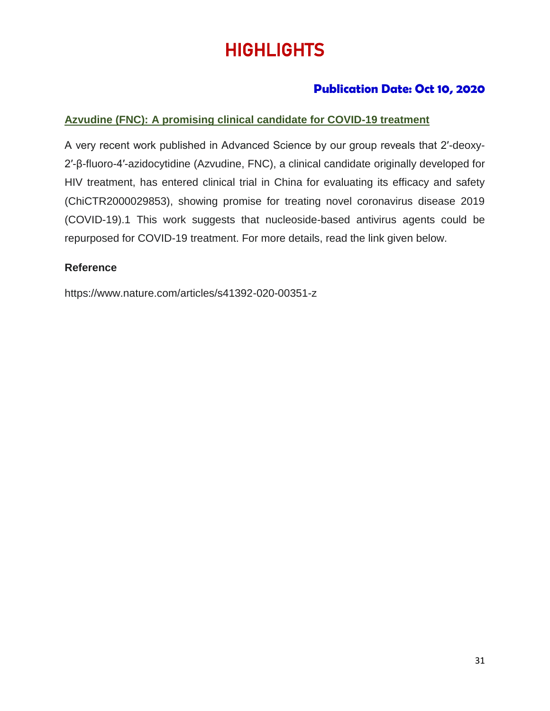# **HIGHLIGHTS**

## **Publication Date: Oct 10, 2020**

### **Azvudine (FNC): A promising clinical candidate for COVID-19 treatment**

A very recent work published in Advanced Science by our group reveals that 2′-deoxy-2′-β-fluoro-4′-azidocytidine (Azvudine, FNC), a clinical candidate originally developed for HIV treatment, has entered clinical trial in China for evaluating its efficacy and safety (ChiCTR2000029853), showing promise for treating novel coronavirus disease 2019 (COVID-19).1 This work suggests that nucleoside-based antivirus agents could be repurposed for COVID-19 treatment. For more details, read the link given below.

#### **Reference**

https://www.nature.com/articles/s41392-020-00351-z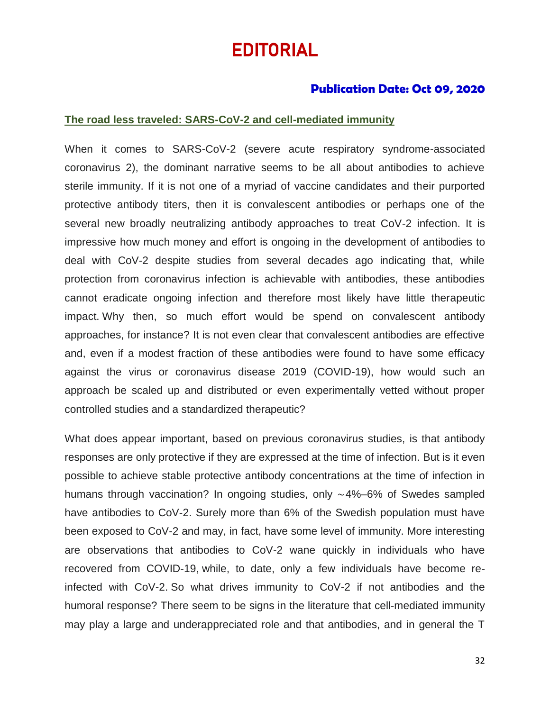# EDITORIAL

### **Publication Date: Oct 09, 2020**

#### **The road less traveled: SARS-CoV-2 and cell-mediated immunity**

When it comes to SARS-CoV-2 (severe acute respiratory syndrome-associated coronavirus 2), the dominant narrative seems to be all about antibodies to achieve sterile immunity. If it is not one of a myriad of vaccine candidates and their purported protective antibody titers, then it is convalescent antibodies or perhaps one of the several new broadly neutralizing antibody approaches to treat CoV-2 infection. It is impressive how much money and effort is ongoing in the development of antibodies to deal with CoV-2 despite studies from several decades ago indicating that, while protection from coronavirus infection is achievable with antibodies, these antibodies cannot eradicate ongoing infection and therefore most likely have little therapeutic impact. Why then, so much effort would be spend on convalescent antibody approaches, for instance? It is not even clear that convalescent antibodies are effective and, even if a modest fraction of these antibodies were found to have some efficacy against the virus or coronavirus disease 2019 (COVID-19), how would such an approach be scaled up and distributed or even experimentally vetted without proper controlled studies and a standardized therapeutic?

What does appear important, based on previous coronavirus studies, is that antibody responses are only protective if they are expressed at the time of infection. But is it even possible to achieve stable protective antibody concentrations at the time of infection in humans through vaccination? In ongoing studies, only ∼4%–6% of Swedes sampled have antibodies to CoV-2. Surely more than 6% of the Swedish population must have been exposed to CoV-2 and may, in fact, have some level of immunity. More interesting are observations that antibodies to CoV-2 wane quickly in individuals who have recovered from COVID-19, while, to date, only a few individuals have become reinfected with CoV-2. So what drives immunity to CoV-2 if not antibodies and the humoral response? There seem to be signs in the literature that cell-mediated immunity may play a large and underappreciated role and that antibodies, and in general the T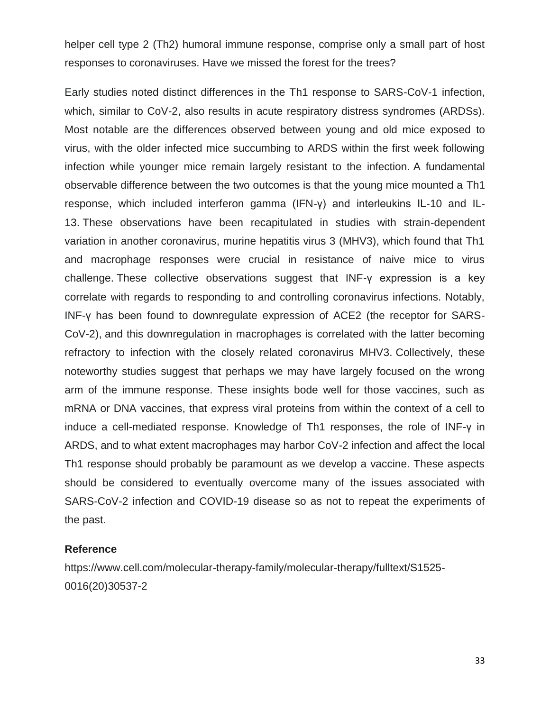helper cell type 2 (Th2) humoral immune response, comprise only a small part of host responses to coronaviruses. Have we missed the forest for the trees?

Early studies noted distinct differences in the Th1 response to SARS-CoV-1 infection, which, similar to CoV-2, also results in acute respiratory distress syndromes (ARDSs). Most notable are the differences observed between young and old mice exposed to virus, with the older infected mice succumbing to ARDS within the first week following infection while younger mice remain largely resistant to the infection. A fundamental observable difference between the two outcomes is that the young mice mounted a Th1 response, which included interferon gamma (IFN-γ) and interleukins IL-10 and IL-13. These observations have been recapitulated in studies with strain-dependent variation in another coronavirus, murine hepatitis virus 3 (MHV3), which found that Th1 and macrophage responses were crucial in resistance of naive mice to virus challenge. These collective observations suggest that INF-γ expression is a key correlate with regards to responding to and controlling coronavirus infections. Notably, INF-γ has been found to downregulate expression of ACE2 (the receptor for SARS-CoV-2), and this downregulation in macrophages is correlated with the latter becoming refractory to infection with the closely related coronavirus MHV3. Collectively, these noteworthy studies suggest that perhaps we may have largely focused on the wrong arm of the immune response. These insights bode well for those vaccines, such as mRNA or DNA vaccines, that express viral proteins from within the context of a cell to induce a cell-mediated response. Knowledge of Th1 responses, the role of INF-γ in ARDS, and to what extent macrophages may harbor CoV-2 infection and affect the local Th1 response should probably be paramount as we develop a vaccine. These aspects should be considered to eventually overcome many of the issues associated with SARS-CoV-2 infection and COVID-19 disease so as not to repeat the experiments of the past.

#### **Reference**

https://www.cell.com/molecular-therapy-family/molecular-therapy/fulltext/S1525- 0016(20)30537-2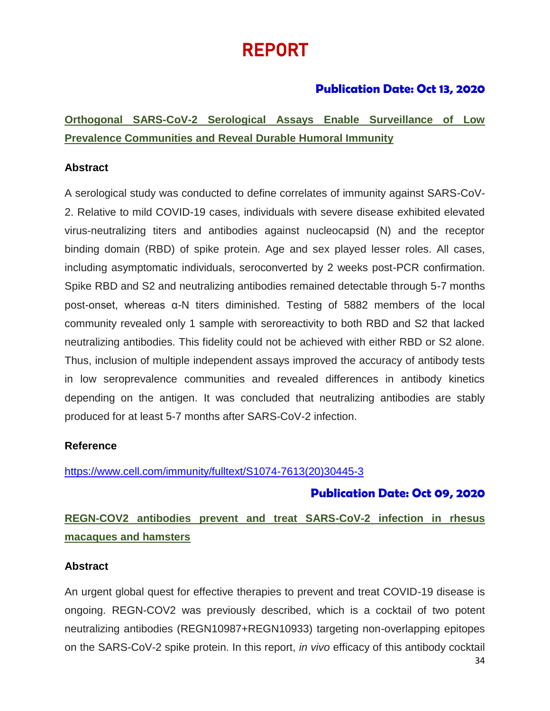# REPORT

## **Publication Date: Oct 13, 2020**

**Orthogonal SARS-CoV-2 Serological Assays Enable Surveillance of Low Prevalence Communities and Reveal Durable Humoral Immunity**

### **Abstract**

A serological study was conducted to define correlates of immunity against SARS-CoV-2. Relative to mild COVID-19 cases, individuals with severe disease exhibited elevated virus-neutralizing titers and antibodies against nucleocapsid (N) and the receptor binding domain (RBD) of spike protein. Age and sex played lesser roles. All cases, including asymptomatic individuals, seroconverted by 2 weeks post-PCR confirmation. Spike RBD and S2 and neutralizing antibodies remained detectable through 5-7 months post-onset, whereas α-N titers diminished. Testing of 5882 members of the local community revealed only 1 sample with seroreactivity to both RBD and S2 that lacked neutralizing antibodies. This fidelity could not be achieved with either RBD or S2 alone. Thus, inclusion of multiple independent assays improved the accuracy of antibody tests in low seroprevalence communities and revealed differences in antibody kinetics depending on the antigen. It was concluded that neutralizing antibodies are stably produced for at least 5-7 months after SARS-CoV-2 infection.

#### **Reference**

[https://www.cell.com/immunity/fulltext/S1074-7613\(20\)30445-3](https://www.cell.com/immunity/fulltext/S1074-7613(20)30445-3)

## **Publication Date: Oct 09, 2020**

# **REGN-COV2 antibodies prevent and treat SARS-CoV-2 infection in rhesus macaques and hamsters**

#### **Abstract**

An urgent global quest for effective therapies to prevent and treat COVID-19 disease is ongoing. REGN-COV2 was previously described, which is a cocktail of two potent neutralizing antibodies (REGN10987+REGN10933) targeting non-overlapping epitopes on the SARS-CoV-2 spike protein. In this report, *in vivo* efficacy of this antibody cocktail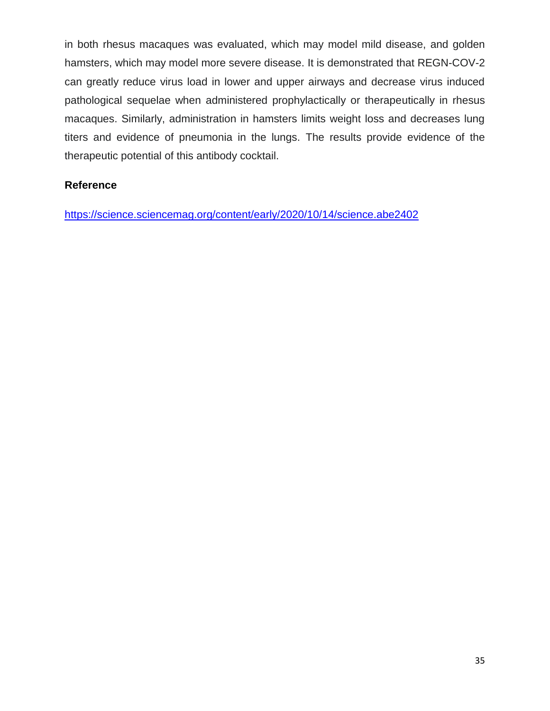in both rhesus macaques was evaluated, which may model mild disease, and golden hamsters, which may model more severe disease. It is demonstrated that REGN-COV-2 can greatly reduce virus load in lower and upper airways and decrease virus induced pathological sequelae when administered prophylactically or therapeutically in rhesus macaques. Similarly, administration in hamsters limits weight loss and decreases lung titers and evidence of pneumonia in the lungs. The results provide evidence of the therapeutic potential of this antibody cocktail.

#### **Reference**

<https://science.sciencemag.org/content/early/2020/10/14/science.abe2402>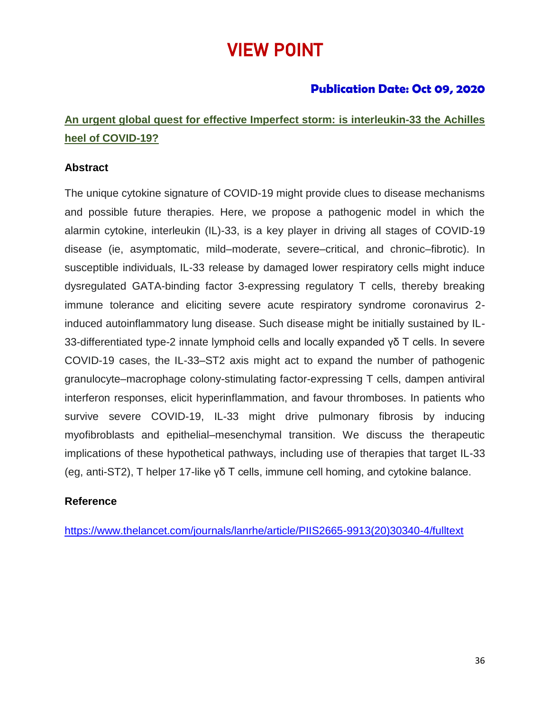# VIEW POINT

## **Publication Date: Oct 09, 2020**

# **An urgent global quest for effective Imperfect storm: is interleukin-33 the Achilles heel of COVID-19?**

### **Abstract**

The unique cytokine signature of COVID-19 might provide clues to disease mechanisms and possible future therapies. Here, we propose a pathogenic model in which the alarmin cytokine, interleukin (IL)-33, is a key player in driving all stages of COVID-19 disease (ie, asymptomatic, mild–moderate, severe–critical, and chronic–fibrotic). In susceptible individuals, IL-33 release by damaged lower respiratory cells might induce dysregulated GATA-binding factor 3-expressing regulatory T cells, thereby breaking immune tolerance and eliciting severe acute respiratory syndrome coronavirus 2 induced autoinflammatory lung disease. Such disease might be initially sustained by IL-33-differentiated type-2 innate lymphoid cells and locally expanded γδ T cells. In severe COVID-19 cases, the IL-33–ST2 axis might act to expand the number of pathogenic granulocyte–macrophage colony-stimulating factor-expressing T cells, dampen antiviral interferon responses, elicit hyperinflammation, and favour thromboses. In patients who survive severe COVID-19, IL-33 might drive pulmonary fibrosis by inducing myofibroblasts and epithelial–mesenchymal transition. We discuss the therapeutic implications of these hypothetical pathways, including use of therapies that target IL-33 (eg, anti-ST2), T helper 17-like γδ T cells, immune cell homing, and cytokine balance.

#### **Reference**

[https://www.thelancet.com/journals/lanrhe/article/PIIS2665-9913\(20\)30340-4/fulltext](https://www.thelancet.com/journals/lanrhe/article/PIIS2665-9913(20)30340-4/fulltext)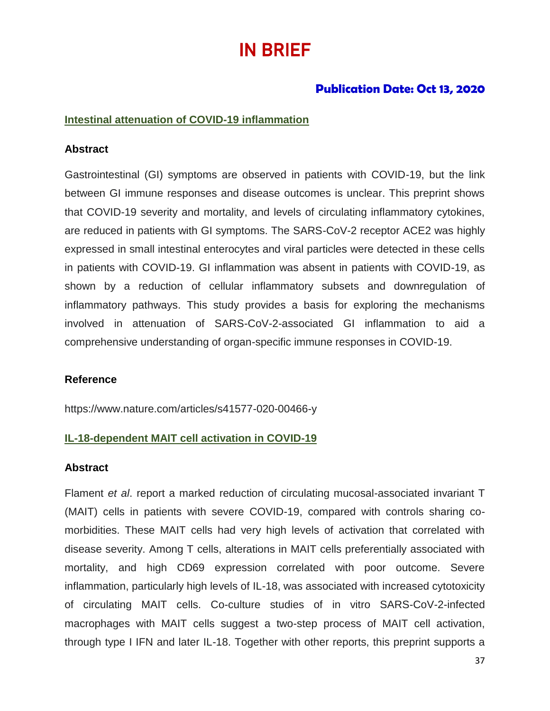# IN BRIEF

## **Publication Date: Oct 13, 2020**

#### **Intestinal attenuation of COVID-19 inflammation**

#### **Abstract**

Gastrointestinal (GI) symptoms are observed in patients with COVID-19, but the link between GI immune responses and disease outcomes is unclear. This preprint shows that COVID-19 severity and mortality, and levels of circulating inflammatory cytokines, are reduced in patients with GI symptoms. The SARS-CoV-2 receptor ACE2 was highly expressed in small intestinal enterocytes and viral particles were detected in these cells in patients with COVID-19. GI inflammation was absent in patients with COVID-19, as shown by a reduction of cellular inflammatory subsets and downregulation of inflammatory pathways. This study provides a basis for exploring the mechanisms involved in attenuation of SARS-CoV-2-associated GI inflammation to aid a comprehensive understanding of organ-specific immune responses in COVID-19.

#### **Reference**

https://www.nature.com/articles/s41577-020-00466-y

#### **IL-18-dependent MAIT cell activation in COVID-19**

#### **Abstract**

Flament *et al*. report a marked reduction of circulating mucosal-associated invariant T (MAIT) cells in patients with severe COVID-19, compared with controls sharing comorbidities. These MAIT cells had very high levels of activation that correlated with disease severity. Among T cells, alterations in MAIT cells preferentially associated with mortality, and high CD69 expression correlated with poor outcome. Severe inflammation, particularly high levels of IL-18, was associated with increased cytotoxicity of circulating MAIT cells. Co-culture studies of in vitro SARS-CoV-2-infected macrophages with MAIT cells suggest a two-step process of MAIT cell activation, through type I IFN and later IL-18. Together with other reports, this preprint supports a